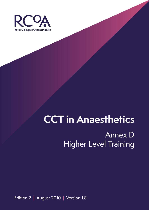

# **CCT in Anaesthetics**

## Annex D Higher Level Training

Edition 2 **|** August 2010 **|** Version 1.8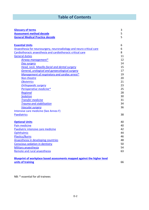### **Table of Contents**

| <b>Glossary of terms</b>                                                 | 3  |
|--------------------------------------------------------------------------|----|
| <b>Assessment method decode</b>                                          | 5  |
| <b>General Medical Practice decode</b>                                   | 5  |
|                                                                          |    |
| <b>Essential Units</b>                                                   | 6  |
| Anaesthesia for neurosurgery, neuroradiology and neuro critical care     | 6  |
| Cardiothoracic anaesthesia and cardiothoracic critical care              | 8  |
| <b>General duties</b>                                                    | 11 |
| Airway management*                                                       | 12 |
| Day surgery                                                              | 14 |
| <b>Head, neck. Maxillo-facial and dental surgery</b>                     | 15 |
| <b>General, urological and gynaecological surgery</b>                    | 17 |
| Management of respiratory and cardiac arrest*                            | 19 |
| Non-theatre                                                              | 20 |
| <b>Obstetrics</b>                                                        | 21 |
| <b>Orthopaedic surgery</b>                                               | 23 |
| Perioperative medicine*                                                  | 25 |
| Regional                                                                 | 28 |
| <b>Sedation</b>                                                          | 30 |
| <b>Transfer medicine</b>                                                 | 31 |
| <b>Trauma and stabilisation</b>                                          | 34 |
| <b>Vascular surgery</b>                                                  | 36 |
| Intensive care medicine (See Annex F)                                    |    |
| <b>Paediatrics</b>                                                       | 38 |
|                                                                          |    |
| <b>Optional Units</b>                                                    | 40 |
| Pain medicine                                                            | 40 |
| Paediatric intensive care medicine                                       | 42 |
| Ophthalmic                                                               | 44 |
| <b>Plastics/Burns</b>                                                    | 46 |
| Anaesthesia in developing countries                                      | 48 |
| Conscious sedation in dentistry                                          | 50 |
| <b>Military anaesthesia</b>                                              | 54 |
| Remote and rural anaesthesia                                             | 63 |
|                                                                          |    |
| Blueprint of workplace based assessments mapped against the higher level |    |
| units of training                                                        | 66 |

NB: \* essential for all trainees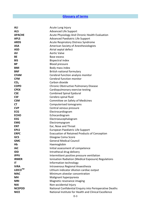### **Glossary of terms**

| <b>ALI</b>      | Acute Lung Injury                                       |
|-----------------|---------------------------------------------------------|
| <b>ALS</b>      | <b>Advanced Life Support</b>                            |
| <b>APACHE</b>   | Acute Physiology And Chronic Health Evaluation          |
| <b>APLS</b>     | Advanced Paediatric Life Support                        |
| <b>ARDS</b>     | <b>Acute Respiratory Distress Syndrome</b>              |
| <b>ASA</b>      | American Society of Anesthesiologists                   |
| <b>ASD</b>      | Atrial septal defect                                    |
| AV              | <b>Aortic Valve</b>                                     |
| <b>BE</b>       | Base excess                                             |
| <b>BIS</b>      | <b>Bispectral index</b>                                 |
| <b>BP</b>       | <b>Blood pressure</b>                                   |
| <b>BMI</b>      | Body mass index                                         |
| <b>BNF</b>      | British national formulary                              |
| <b>CFAM</b>     | Cerebral function analysis monitor                      |
| <b>CFM</b>      | Cerebral function monitor                               |
| CO <sub>2</sub> | Carbon dioxide                                          |
| <b>COPD</b>     | Chronic Obstructive Pulmonary Disease                   |
| <b>CPEX</b>     | Cardiopulmonary exercise testing                        |
| <b>CSE</b>      | <b>Combined Spinal Epidural</b>                         |
| <b>CSF</b>      | Cerebro spinal fluid                                    |
| <b>CSM</b>      | Committee on Safety of Medicines                        |
| <b>CT</b>       | Computerised tomograms                                  |
| <b>CVP</b>      | Central venous pressure                                 |
| <b>ECG</b>      | Electrocardiogram                                       |
| <b>ECHO</b>     | Echocardiogram                                          |
| <b>EEG</b>      | Electroeucephalogram                                    |
| <b>EMG</b>      | Electromyogram                                          |
| <b>ENT</b>      | Ear, Nose and Throat                                    |
| <b>EPLS</b>     | European Paediatric Life Support                        |
| <b>ERPC</b>     | Evacuation of Retained Products of Conception           |
| GCS             | <b>Glasgow Coma Score</b>                               |
| <b>GMC</b>      | <b>General Medical Council</b>                          |
| Hb              | Haemoglobin                                             |
| <b>IAC</b>      | Initial assessment of competence                        |
| <b>IDD</b>      | Intrathecal drug delivery                               |
| <b>IPPV</b>     | Intermittent positive pressure ventilation              |
| <b>IRMER</b>    | Ionisation Radiation (Medical Exposure) Regulations     |
| IT              | Information technology                                  |
| <b>IVRA</b>     | Intravenous Regional Anaesthesia                        |
| LiDCO™          | Lithium indicator dilution cardiac output               |
| <b>MAC</b>      | Minimum alveolar concentration                          |
| <b>MH</b>       | Malignant hyperpyrexia                                  |
| <b>MRI</b>      | Magnetic resonance imaging                              |
| <b>NAI</b>      | Non-accidental Injury                                   |
| <b>NCEPOD</b>   | National Confidential Enquiry into Perioperative Deaths |
| <b>NICE</b>     | National Institute for Health and Clinical Excellence   |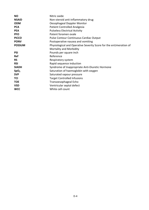| <b>NO</b>        | Nitric oxide                                                      |
|------------------|-------------------------------------------------------------------|
| <b>NSAID</b>     | Non-steroid anti-inflammatory drug                                |
| <b>ODM</b>       | Oesophageal Doppler Monitor                                       |
| <b>PCA</b>       | <b>Patient Controlled Analgesia</b>                               |
| <b>PEA</b>       | <b>Pulseless Electrical Activity</b>                              |
| <b>PFO</b>       | Patent foramen ovale                                              |
| <b>PiCCO</b>     | Pulse Contour Continuous Cardiac Output                           |
| <b>PONV</b>      | Postoperative nausea and vomiting                                 |
| <b>POSSUM</b>    | Physiological and Operative Severity Score for the enUmeration of |
|                  | Mortality and Morbidity                                           |
| <b>PSI</b>       | Pounds per square inch                                            |
| <b>Ref</b>       | Reference                                                         |
| <b>RS</b>        | Respiratory system                                                |
| <b>RSI</b>       | Rapid sequence induction                                          |
| <b>SIADH</b>     | Syndrome of Inappropriate Anti-Diuretic Hormone                   |
| SpO <sub>2</sub> | Saturation of haemoglobin with oxygen                             |
| <b>SVP</b>       | Saturated vapour pressure                                         |
| TCI              | <b>Target Controlled Infusions</b>                                |
| <b>TOE</b>       | Transoesophageal Echo                                             |
| <b>VSD</b>       | Ventricular septal defect                                         |
| <b>WCC</b>       | White cell count                                                  |
|                  |                                                                   |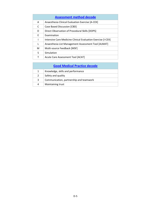| <b>Assessment method decode</b> |                                                              |  |
|---------------------------------|--------------------------------------------------------------|--|
| A                               | Anaesthesia Clinical Evaluation Exercise [A-CEX]             |  |
| C                               | Case Based Discussion [CBD]                                  |  |
| D                               | Direct Observation of Procedural Skills [DOPS]               |  |
| F                               | Examination                                                  |  |
| ı                               | Intensive Care Medicine Clinical Evaluation Exercise [I-CEX] |  |
| L                               | Anaesthesia List Management Assessment Tool [ALMAT]          |  |
| M                               | Multi-source Feedback [MSF]                                  |  |
| S                               | Simulation                                                   |  |
| т                               | Acute Care Assessment Tool [ACAT]                            |  |

|              | <b>Good Medical Practice decode</b>     |  |  |
|--------------|-----------------------------------------|--|--|
| $\mathbf{1}$ | Knowledge, skills and performance       |  |  |
| 2            | Safety and quality                      |  |  |
| 3            | Communication, partnership and teamwork |  |  |
| 4            | Maintaining trust                       |  |  |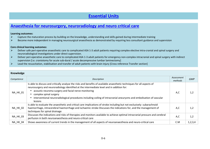### **Essential Units**

### **Anaesthesia for neurosurgery, neuroradiology and neuro critical care**

#### **Learning outcomes:**

- $\blacktriangleright$ Capture the maturation process by building on the knowledge, understanding and skills gained during intermediate training
- $\blacktriangleright$ Become more independent in managing neurosurgical anaesthesia as demonstrated by requiring less consultant guidance and supervision

- $\blacktriangleright$  Deliver safe peri-operative anaesthetic care to complicated ASA 1-3 adult patients requiring complex elective intra-cranial and spinal surgery and neuroradiological investigations under direct supervision.
- $\blacktriangleright$  Deliver peri-operative anaesthetic care to complicated ASA 1-3 adult patients for emergency non-complex intracranial and spinal surgery with indirect supervision [i.e. craniotomy for acute sub-dural / acute decompressive lumbar laminectomy]
- $\blacktriangleright$ Lead the resuscitation, stabilisation and transfer of adult patients with brain injury [Cross reference Transfer section]

| Knowledge       |                                                                                                                                                                                                                                                                                                                                                                                                                                           |                       |            |
|-----------------|-------------------------------------------------------------------------------------------------------------------------------------------------------------------------------------------------------------------------------------------------------------------------------------------------------------------------------------------------------------------------------------------------------------------------------------------|-----------------------|------------|
| Competence      | Description                                                                                                                                                                                                                                                                                                                                                                                                                               | Assessment<br>methods | <b>GMP</b> |
| NA_HK_01        | Is able to discuss and critically analyse the risks and benefits of available anaesthetic techniques for all aspects of<br>neurosurgery and neuroradiology identified at the intermediate level and in addition for:<br>acoustic neuroma surgery and facial nerve monitoring<br>complex spinal surgery<br>interventional neuroradiological procedures including coiling of intracranial aneurysms and embolisation of vascular<br>lesions | A,C                   | 1,2        |
| NA_HK_02        | Is able to evaluate the anaesthetic and critical care implications of stroke including but not exclusively: subarachnoid<br>haemorrhage, intracerebral haemorrhage and ischaemic stroke Discusses the indications for, and the management of<br>techniques for spinal drainage                                                                                                                                                            | A,C                   | 1,2        |
| <b>NA_HK_03</b> | Discusses the indications and risks of therapies and monitors available to achieve optimal intracranial pressure and cerebral<br>perfusion in both neuroanaesthesia and neuro-critical care                                                                                                                                                                                                                                               | A, C                  | 1,2        |
| <b>NA HK 04</b> | Shows awareness of current trends in the management of all aspects of neuroanaesthesia and neuro-critical care                                                                                                                                                                                                                                                                                                                            | C.M                   | 1,2,3,4    |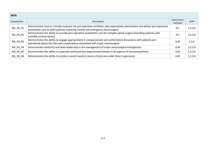| <b>Skills</b>   |                                                                                                                                                                                                                  |                       |            |
|-----------------|------------------------------------------------------------------------------------------------------------------------------------------------------------------------------------------------------------------|-----------------------|------------|
| Competence      | Description                                                                                                                                                                                                      | Assessment<br>methods | <b>GMP</b> |
| NA_HS_01        | Demonstrates how to critically evaluate the pre-operative condition, plan appropriate optimisation and deliver peri-operative<br>anaesthetic care to adult patients requiring routine and emergency neurosurgery | A,C                   | 1,2,3,4    |
| <b>NA_HS_02</b> | Demonstrates the ability to provide peri-operative anaesthetic care for complex spinal surgery [including patients with<br>unstable cervical spines]                                                             | A,C                   | 1,2,3,4    |
| <b>NA_HS_03</b> | Demonstrates the ability to engage appropriately in compassionate and authoritative discussions with patients pre-<br>operatively about the risks and complications associated with major neurosurgery           | A,M                   | 1,3,4      |
| <b>NA HS 04</b> | Demonstrates authority and team leadership in the management of major neurosurgical emergencies                                                                                                                  | A,M                   | 1,2,3,4    |
| <b>NA HS 05</b> | Demonstrates the ability to supervise and teach less experienced trainees in all aspects of neuroanaesthesia                                                                                                     | A,M                   | 1,2,3,4    |
| <b>NA HK 06</b> | Demonstrates the ability to conduct a ward round in neuro-critical care under direct supervision                                                                                                                 | A,M                   | 1, 2, 3, 4 |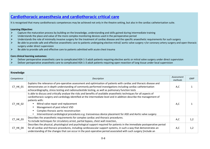### **Cardiothoracic anaesthesia and cardiothoracic critical care**

It is recognised that many cardiothoracic competences may be achieved not only in the theatre setting, but also in the cardiac catheterisation suite.

### **Learning Objective:**

- $\blacktriangleright$ Capture the maturation process by building on the knowledge, understanding and skills gained during intermediate training
- $\blacktriangleright$ Understands the place and value of the more complex monitoring devices used in the perioperative period
- $\blacktriangleright$ Understands the role of minimally invasive surgery for the treatment of cardiac disease and the specific anaesthetic requirements for such surgery
- $\blacktriangleright$ Be able to provide safe and effective anaesthetic care to patients undergoing elective mitral/ aortic valve surgery +/or coronary artery surgery and open thoracic surgery under direct supervision
- $\triangleright$  Be able to provide safe and effective care to patients admitted with acute chest trauma  $\blacktriangleright$

- $\blacktriangleright$ Deliver perioperative anaesthetic care to complicated ASA 1-3 adult patients requiring elective aortic or mitral valve surgery under direct supervision
- $\blacktriangleright$ Deliver perioperative anaesthetic care to complicated ASA 1-3 adult patients requiring open resection of lung tissue under local supervision

| Knowledge  |                                                                                                                                                                                                                                                                                                                                                                                                                                                                                                     |                       |            |
|------------|-----------------------------------------------------------------------------------------------------------------------------------------------------------------------------------------------------------------------------------------------------------------------------------------------------------------------------------------------------------------------------------------------------------------------------------------------------------------------------------------------------|-----------------------|------------|
| Competence | Description                                                                                                                                                                                                                                                                                                                                                                                                                                                                                         | Assessment<br>methods | <b>GMP</b> |
| CT_HK_01   | Explains the relevance of pre-operative assessment and optimisation of patients with cardiac and thoracic disease and<br>demonstrates an in depth understanding of commonly performed investigations including cardiac catheterisation<br>echocardiography, stress testing and radionucleotide testing, as well as pulmonary function tests                                                                                                                                                         | A,C                   |            |
| CT_HK_02   | Is able to discuss and critically analyse the risks and benefits of available anaesthetic techniques for all aspects of<br>cardiothoracic surgery and cardiology identified at the intermediate level and in addition describe the management of<br>patients with:<br>Mitral valve repair and replacement<br>Management of post infarct VSD<br>Complex thoracic aortic reconstruction<br>Interventional cardiological procedures e.g. transvenous device placement for ASD and Aortic valve surgery | A,C                   |            |
| CT_HK_03   | Describes the anaesthetic requirements for complex cardiac and thoracic procedures.<br>To include techniques for circulatory arrest, partial bypass, chest wall resection,                                                                                                                                                                                                                                                                                                                          | A,C                   | 1,2        |
| CT HK 04   | Describes the physical, physiological and psychological support required for patients in the immediate postoperative period<br>for all cardiac and thoracic procedures, including cardiovascular support systems, in such a way that demonstrates an<br>understanding of the changes that can occur in the post-operative period associated with such surgery [include an                                                                                                                           | A,C                   | 1,2        |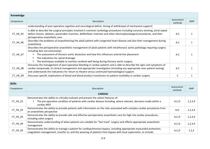| Knowledge  |                                                                                                                                                                                                                                                                                                                                                                                                                                        |                       |            |
|------------|----------------------------------------------------------------------------------------------------------------------------------------------------------------------------------------------------------------------------------------------------------------------------------------------------------------------------------------------------------------------------------------------------------------------------------------|-----------------------|------------|
| Competence | Description                                                                                                                                                                                                                                                                                                                                                                                                                            | Assessment<br>methods | <b>GMP</b> |
|            | understanding of post-operative cognitive and neurological deficit, timing of withdrawal of mechanical support]                                                                                                                                                                                                                                                                                                                        |                       |            |
| CT_HK_05   | Is able to describe the surgical principles involved in common cardiology procedures including coronary stenting, atrial septal<br>defect closure, ablation, pacemaker insertion, defibrillator insertion and other electrophysiological procedures, and their<br>perioperative anaesthetic care.                                                                                                                                      | A,C                   |            |
| CT_HK_06   | Describes the problems of anaesthetising the adult patient with congenital heart disease and also their management during<br>anaesthesia                                                                                                                                                                                                                                                                                               | A,C                   |            |
| CT_HK_07   | Describes the perioperative anaesthetic management of adult patients with intrathoracic aortic pathology requiring surgery<br>including [but not exclusively]:<br>The assessment of thoracic aortic dissection and how this influences arterial line placement<br>$\bullet$<br>The indications for spinal drainage<br>$\bullet$<br>The techniques available to monitor cerebral well being during thoracic aortic surgery<br>$\bullet$ | A,C                   |            |
| CT_HK_08   | Discusses the management of post-operative bleeding in cardiac patients and is able to describe the signs and symptoms of<br>cardiac tamponade, its clinical management and appropriate investigation [including any appropriate near patient testing]<br>and understands the indications for return to theatre versus continued haematological support.                                                                               | A,C                   |            |
| CT_HK_09   | Discusses specific implications of blood and blood product transfusion on patient morbidity in cardiac surgery                                                                                                                                                                                                                                                                                                                         | C                     |            |

| <b>Skills</b>            |                                                                                                                              |                       |            |
|--------------------------|------------------------------------------------------------------------------------------------------------------------------|-----------------------|------------|
| Competence               | Description                                                                                                                  | Assessment<br>methods | <b>GMP</b> |
|                          | <b>CARDIAC</b>                                                                                                               |                       |            |
|                          | Demonstrates the ability to critically evaluate and present the salient features of:                                         |                       |            |
| CT_HS_01                 | The pre-operative condition of patients with cardiac disease Including, where relevant, decisions made within a<br>$\bullet$ | A,C,D                 | 1,2,3,4    |
|                          | cardiac MDT                                                                                                                  |                       |            |
| $CT$ $HS$ <sub>-02</sub> | Demonstrates the ability to provide patients with information on the risks associated with complex cardiac procedures from   | A, D                  | 1,2,3,4    |
|                          | an anaesthetic perspective                                                                                                   |                       |            |
| $CT$ _HS_03              | Demonstrates the ability to provide safe and effective perioperative anaesthetic care for high risk cardiac procedures,      | A, C, D               | 1,2,3,4    |
|                          | including valve surgery                                                                                                      |                       |            |
| $CT_HS_04$               | Demonstrates understanding of when patients are suitable for "fast track" surgery and effects appropriate anaesthetic        | A, C, D               | 1, 2, 3, 4 |
|                          | management                                                                                                                   |                       |            |
| $CT_HS_05$               | Demonstrates the ability to manage a patient for cardiopulmonary bypass, including appropriate myocardial protection,        | A, C, D               | 1, 2, 3    |
|                          | coagulation management, transfer to, and the weaning of patients from bypass with local supervision, to include:             |                       |            |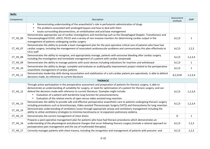| <b>Skills</b>  |                                                                                                                                                                                                                                                                                                                                                                                                                                                                                                                                            |                       |              |
|----------------|--------------------------------------------------------------------------------------------------------------------------------------------------------------------------------------------------------------------------------------------------------------------------------------------------------------------------------------------------------------------------------------------------------------------------------------------------------------------------------------------------------------------------------------------|-----------------------|--------------|
| Competence     | Description                                                                                                                                                                                                                                                                                                                                                                                                                                                                                                                                | Assessment<br>methods | <b>GMP</b>   |
|                | Demonstrating understanding of the anaesthetist's role in perfusionist administration of drugs<br>$\bullet$                                                                                                                                                                                                                                                                                                                                                                                                                                |                       |              |
|                | The problems associated with prolonged bypass and how to deal with them<br>$\bullet$                                                                                                                                                                                                                                                                                                                                                                                                                                                       |                       |              |
|                | Issues surrounding disconnections, air embolisation and acid base management                                                                                                                                                                                                                                                                                                                                                                                                                                                               |                       |              |
| CT_HS_06       | Demonstrates appropriate use of cardiac investigations and monitoring such as the Oesophageal Doppler, Transthoracic and<br>Transoesophageal ECHO, LIDCO, PICCO and a variety of non-invasive monitors for determining cardiac output in the<br>management of patients undergoing cardiac surgery                                                                                                                                                                                                                                          | A, C, D               | $\mathbf{1}$ |
| CT_HS_07       | Demonstrates the ability to provide a team management plan for the post operative critical care of patients who have had<br>cardiac surgery, including the management of associated cardiovascular problems and communicates this plan effectively to<br>CICU staff                                                                                                                                                                                                                                                                        | A, C, D               | 1,2,3        |
| CT_HS_08       | Demonstrates the ability to recognise, and appropriately manage, patients with excessive bleeding after cardiac surgery<br>including the investigation and immediate management of a patient with cardiac tamponade                                                                                                                                                                                                                                                                                                                        | A,C,D                 | 1, 2, 3, 4   |
| CT_HS_09       | Demonstrates the ability to manage patients with assist devices Including indications for insertion and withdrawal                                                                                                                                                                                                                                                                                                                                                                                                                         | A,C,D                 | $\mathbf{1}$ |
| $CT_HS_10$     | Demonstrates the ability to design, complete and evaluate an audit/quality improvement project related to the perioperative<br>anaesthetic management of cardiac patients                                                                                                                                                                                                                                                                                                                                                                  | A, C, D               | $\mathbf{1}$ |
| $CT_HS_11$     | Demonstrates leadership skills during resuscitation and stabilisation of a sick cardiac patient pre-operatively. Is able to defend<br>decisions made, by reference to current literature                                                                                                                                                                                                                                                                                                                                                   | A, C, D, M            | 1,2,3,4      |
|                | <b>THORACIC</b>                                                                                                                                                                                                                                                                                                                                                                                                                                                                                                                            |                       |              |
| $CT$ $HS$ $12$ | Through active participation in the preoperative assessment and preparation of patients for thoracic surgery, is able to<br>demonstrate an understanding of suitability for surgery, or need for optimisation of a patient for thoracic surgery, and can<br>defend the decisions made with reference to current literature. Examples might include:<br>Evaluation of a patient with borderline lung function for pneumonectomy<br>$\bullet$<br>Evaluation of the relative merits of open versus video assisted lung resection<br>$\bullet$ | A, C, D               | 1,2,3,4      |
| $CT_HS_13$     | Demonstrates the ability to provide safe and effective perioperative anaesthetic care to patients undergoing thoracic surgery<br>including procedures such as bronchoscopy, Video assisted Thoracoscopic Surgery (VATS) and thoracotomy for lung resection                                                                                                                                                                                                                                                                                 | A, C, D               | 1,2,3,4      |
| $CT_HS_14$     | Demonstrates understanding of ventilatory issues through appropriate airway and ventilatory management including the<br>ability to utilise ventilatory strategies to minimise barotrauma or re-expansion pulmonary oedema                                                                                                                                                                                                                                                                                                                  |                       |              |
| $CT_HS_15$     | Demonstrates the correct management of chest drains                                                                                                                                                                                                                                                                                                                                                                                                                                                                                        | D                     | $\mathbf{1}$ |
| CT_HS_16       | Prepares a post-operative management plan for patients who have had thoracic procedures which demonstrates an<br>understanding of the physiological and physical changes that occur following thoracic surgery [include a rational approach to<br>postoperative pain management and the use of multimodal therapies]                                                                                                                                                                                                                       | A, C, D               | 1,2,3        |
| CT_HS_17       | Correctly manages patients with chest trauma, including the recognition and management of patients with pneumo- and                                                                                                                                                                                                                                                                                                                                                                                                                        | A, C, D               | 1,2,3        |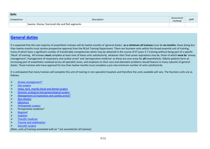| <b>Skills</b> |                                                 |                       |            |  |
|---------------|-------------------------------------------------|-----------------------|------------|--|
| Competence    | Description                                     | Assessment<br>methods | <b>GMP</b> |  |
|               | haemo-thorax, fractured ribs and flail segments |                       |            |  |

### **General duties**

It is expected that the vast majority of anaesthetic trainees will do twelve months of 'general duties'; **as a minimum all trainees** must do **six months**; those doing less than twelve months must receive prospective approval from the RCoA Training Department. There are fourteen units within this broad essential unit of training, many of which have a significant number of transferable competencies which may be obtained in the course of ST years 5-7 training without being part of a specific 'block' of training. All trainees *must* complete at least nine of these units satisfactorily, whatever their final career aspirations may be, three of which *must be* 'airway management','management of respiratory and cardiac arrest' and 'perioperative medicine' as these are core areas for *all* anaesthetists. Elderly patients form an increasing part of anaesthetic caseload across all specialist areas, and emphasis on their care and attendant problems should feature in many subunits of general duties. Those trainees who have approval for less than twelve months must complete a pro-rata minimum number of units satisfactorily.

It is anticipated that many trainees will complete this unit of training in non-specialist hospitals and therefore the units available will vary. The fourteen units are as follows:

- $\blacktriangleright$ *Airway management\**
- $\blacktriangleright$ *Day surgery*
- $\blacktriangleright$ *Head, neck, maxillo-facial and dental surgery*
- $\blacktriangleright$ *General, urological and gynaecological surgery*
- $\blacktriangleright$ *Management of respiratory and cardiac arrest\**
- $\blacktriangleright$ *Non-theatre*
- $\blacktriangleright$ *Obstetrics*
- $\blacktriangleright$ *Orthopaedic surgery*
- $\blacktriangleright$ *Perioperative medicine\**
- $\blacktriangleright$ *Regional*
- $\blacktriangleright$ *Sedation*
- $\blacktriangleright$ *Transfer medicine*
- $\blacktriangleright$ *Trauma and stabilisation*
- $\blacktriangleright$ *Vascular surgery*

*[Note, units of training annotated with an \* are essential for all trainees]*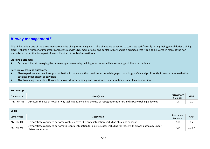### **Airway management\***

This higher unit is one of the three mandatory units of higher training which all trainees are expected to complete satisfactorily during their general duties training block. It shares a number of important competencies with ENT, maxillo-facial and dental surgery and it is expected that it can be delivered in many of the nonspecialist hospitals that form part of many, if not all, Schools of Anaesthesia.

### **Learning outcomes:**

 $\blacktriangleright$ Become skilled at managing the more complex airways by building upon intermediate knowledge, skills and experience

- $\blacktriangleright$  Able to perform elective fibreoptic intubation in patients without serious intra-oral/laryngeal pathology, safely and proficiently, in awake or anaesthetised patients under distant supervision
- $\blacktriangleright$ Able to manage patients with complex airway disorders, safely and proficiently, in all situations, under local supervision

| Knowledge  |                                                                                                                     |                       |            |
|------------|---------------------------------------------------------------------------------------------------------------------|-----------------------|------------|
| Competence | Description                                                                                                         | Assessment<br>Methods | <b>GMP</b> |
| AM HK 01   | Discusses the use of novel airway techniques, including the use of retrograde catheters and airway exchange devices | A.C                   | ے , _      |

| <b>Skills</b> |                                                                                                                          |                |            |
|---------------|--------------------------------------------------------------------------------------------------------------------------|----------------|------------|
| Competence    | Description                                                                                                              | Assessment     | <b>GMP</b> |
|               |                                                                                                                          | <b>Methods</b> |            |
| AM_HS_01      | Demonstrates ability to perform awake elective fibreoptic intubation, including obtaining consent                        | A,C            | 1,2        |
| $AM_HS_02$    | Demonstrates ability to perform fibreoptic intubation for elective cases including for those with airway pathology under | A,D            |            |
|               | distant supervision                                                                                                      |                |            |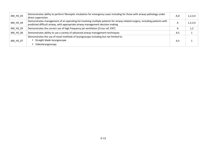| AM_HS_03   | Demonstrates ability to perform fibreoptic intubation for emergency cases including for those with airway pathology under<br>direct supervision                                                                | A,D            | 1,2,3,4 |
|------------|----------------------------------------------------------------------------------------------------------------------------------------------------------------------------------------------------------------|----------------|---------|
| $AM_HS_04$ | Demonstrates management of an operating list involving multiple patients for airway related surgery, including patients with<br>predicted difficult airway, with appropriate airway management decision making | $\overline{A}$ | 1,2,3,4 |
| AM_HS_05   | Demonstrates the correct use of high frequency jet ventilation [Cross ref; ENT]                                                                                                                                | A              | 1,2     |
| AM_HS_06   | Demonstrates ability to use a variety of advanced airway management techniques                                                                                                                                 | A, S           |         |
| AM_HS_07   | Demonstrates the use of novel methods of laryngoscopy including but not limited to:<br>Straight blade laryngoscope<br>Videolaryngoscopy                                                                        | A,S            |         |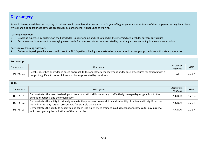### **Day surgery**

 It would be expected that the majority of trainees would complete this unit as part of a year of higher general duties. Many of the competencies may be achieved while managing appropriate day case procedures as part of other higher units of training.

#### **Learning outcomes:**

- $\blacktriangleright$ Develops expertise by building on the knowledge, understanding and skills gained in the intermediate level day surgery curriculum
- Become more independent in managing anaesthesia for day case lists as demonstrated by requiring less consultant guidance and supervision  $\blacktriangleright$

### **Core clinical learning outcome***:*

 $\blacktriangleright$ Deliver safe perioperative anaesthetic care to ASA 1-3 patients having more extensive or specialized day surgery procedures with distant supervision

| Knowledge  |                                                                                                                                                                                                   |                              |            |
|------------|---------------------------------------------------------------------------------------------------------------------------------------------------------------------------------------------------|------------------------------|------------|
| Competence | Description                                                                                                                                                                                       | Assessment<br><b>Methods</b> | <b>GMP</b> |
| DS_HK_01   | Recalls/describes an evidence based approach to the anaesthetic management of day case procedures for patients with a<br>range of significant co-morbidities, and issues presented by the elderly |                              |            |

| <b>Skills</b> |                                                                                                                                                                                                  |                              |            |
|---------------|--------------------------------------------------------------------------------------------------------------------------------------------------------------------------------------------------|------------------------------|------------|
| Competence    | Description                                                                                                                                                                                      | Assessment<br><b>Methods</b> | <b>GMP</b> |
| DS_HS_01      | Demonstrates the team leadership and communication skills necessary to effectively manage day surgical lists to the<br>benefit of patients and the organisation                                  | A, C, D, M                   | 1,2,3,4    |
| DS_HS_02      | Demonstrates the ability to critically evaluate the pre-operative condition and suitability of patients with significant co-<br>morbidities for day surgical procedures, for example the elderly | A, C, D, M                   | 1,2,3,4    |
| DS_HS_03      | Demonstrates the ability to supervise and teach less experienced trainees in all aspects of anaesthesia for day surgery,<br>whilst recognising the limitations of their expertise                | A, C, D, M                   | 1,2,3,4    |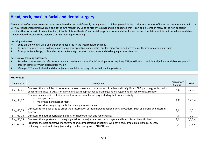### **Head, neck, maxillo-facial and dental surgery**

The majority of trainees are expected to complete this unit satisfactorily during a year of higher general duties. It shares a number of important competencies with the 'Airway Management unit [which is one of the two mandatory units of higher training] and it is expected that it can be delivered in many of the non-specialist hospitals that form part of many, if not all, Schools of Anaesthesia. Chair dental surgery is not mandatory for successful completion of this unit but where available, trainees should receive some exposure during their higher training.

#### **Learning outcomes:**

- $\blacktriangleright$ Build on knowledge, skills and experience acquired in the intermediate syllabus
- $\blacktriangleright$ To supervise more junior colleagues providing peri-operative anaesthetic care for minor/intermediate cases in these surgical sub-specialties
- $\blacktriangleright$ To acquire knowledge, skills and experience treating complex clinical cases and challenging airway situations

- $\blacktriangleright$  Provides comprehensive safe perioperative anaesthetic care to ASA 1-4 adult patients requiring ENT, maxillo-facial and dental [where available] surgery of greater complexity with distant supervision
- $\blacktriangleright$ Manage ENT, maxillo-facial and dental [where available] surgery lists with distant supervision

| Knowledge       |                                                                                                                                                                                                                                               |                              |            |
|-----------------|-----------------------------------------------------------------------------------------------------------------------------------------------------------------------------------------------------------------------------------------------|------------------------------|------------|
| Competence      | Description                                                                                                                                                                                                                                   | Assessment<br><b>Methods</b> | <b>GMP</b> |
| EN_HK_01        | Discusses the principles of pre-operative assessment and optimisation of patients with significant ENT pathology and/or with<br>concomitant disease [ASA 3 or 4] including team approaches to planning and management of such complex surgery | A,C                          | 1,2,3,4    |
| EN_HK_02        | Discusses anaesthetic techniques used for more complex surgery including, but not exclusively:<br>Laryngectomy<br>Major head and neck surgery<br>Procedures requiring multi-disciplinary surgical teams                                       | A,C                          | 1,2,3,4    |
| EN_HK_03        | Discusses techniques used to assist the preservation of facial nerve function during procedures such as parotid and mastoid<br>surgery                                                                                                        | A,C                          | 1,2        |
| EN HK 04        | Discusses the pathophysiological effects of chemotherapy and radiotherapy                                                                                                                                                                     | A,C                          | 1,2        |
| <b>EN HK 05</b> | Discusses the importance of managing nutrition in major head and neck surgery and how this can be optimised                                                                                                                                   | A,C                          | 1,2,3,4    |
| <b>EN_HK_06</b> | Identifies the post operative management and complications of patients who have had complex maxillofacial surgery<br>including but not exclusively jaw wiring, tracheostomy and HDU/ICU care                                                  | A,C                          | 1, 2, 3, 4 |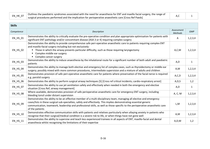| <b>EN HK 07</b><br>$\sim$ $\sim$ | Outlines the paediatric syndromes associated with the need for anaesthesia for ENT and maxillo facial surgery, the range of |  |
|----------------------------------|-----------------------------------------------------------------------------------------------------------------------------|--|
|                                  | surgical procedures performed and the implication for perioperative anaesthetic care [Cross Ref Paeds]                      |  |

| <b>Skills</b>              |                                                                                                                                                                                                                                                                                                                                                                                                |                              |              |
|----------------------------|------------------------------------------------------------------------------------------------------------------------------------------------------------------------------------------------------------------------------------------------------------------------------------------------------------------------------------------------------------------------------------------------|------------------------------|--------------|
| Competence                 | Description                                                                                                                                                                                                                                                                                                                                                                                    | Assessment<br><b>Methods</b> | <b>GMP</b>   |
| $EN$ <sub>_HS</sub> $_01$  | Demonstrates the ability to critically evaluate the pre-operative condition and plan appropriate optimisation for patients with<br>significant ENT pathology and/or concomitant disease [ASA 3 or 4] requiring complex surgery                                                                                                                                                                 | A                            | 1,2,3,4      |
| EN_HS_02                   | Demonstrates the ability to provide comprehensive safe peri-operative anaesthetic care to patients requiring complex ENT<br>and maxillo-facial surgery including but not exclusively:<br>Those in which the airway presents particular difficulty, such as those requiring laryngectomy<br>п.<br>Complex middle ear surgery<br>п.<br>• Complex cancer surgery                                  | A, C, M                      | 1, 2, 3, 4   |
| $EN$ <sub>_HS_03</sub>     | Demonstrates the ability to induce anaesthesia by the inhalational route for a significant number of both adult and paediatric<br>patients                                                                                                                                                                                                                                                     | A,D                          | $\mathbf{1}$ |
| EN_HS_04                   | Demonstrates the ability to manage both elective and emergency list of complex cases, such as thyroidectomy or middle ear<br>surgery; possibly mixed with more common procedures, intermediate supervision and a mixture of adults and children                                                                                                                                                | A,M                          | 1, 2, 3, 4   |
| $EN_HS_05$                 | Demonstrates provision of safe peri-operative anaesthetic care for patients where preservation of the facial nerve is required<br>e.g. parotid surgery                                                                                                                                                                                                                                         | A, C, D                      | 1, 2, 3, 4   |
| $EN$ <sub>_HS</sub> $_0$ 6 | Demonstrates the ability to perform surgical airway techniques [S] [Cross ref critical incidents; cardio-respiratory arrest]                                                                                                                                                                                                                                                                   | A, D, S                      | 1,2          |
| EN_HS_07                   | Demonstrates the ability to use jet ventilation safely and effectively when needed in both the emergency and elective<br>situation [Cross Ref; airway management]                                                                                                                                                                                                                              | A,D                          | $\mathbf{1}$ |
| $EN$ <sub>_HS</sub> $_0$ 8 | Where available, demonstrates provision of safe perioperative anaesthetic care for emergency ENT surgery, including<br>bleeding tonsil under distant supervision                                                                                                                                                                                                                               | A, C, M                      | 1, 2, 3, 4   |
| EN_HS_09                   | Demonstrates the ability to be an effective member of a multi-disciplinary team, managing all elective and emergency<br>cases/lists in these surgical sub-specialties, safely and effectively. This implies demonstrating essential generic<br>communication, teamwork, leadership and professional skills, as well as those specific to the perioperative anaesthetic care<br>of the patients | L,M                          | 1, 2, 3, 4   |
| $EN$ <sub>_HS</sub> $_10$  | Demonstrates effective communication skills with patients and relatives particularly when allaying anxiety in patients who<br>recognise that their surgical/medical condition is a severe risk to life, or when things have not gone well                                                                                                                                                      | A,M                          | 1, 2, 3, 4   |
| $EN$ <sub>_HS_11</sub>     | Demonstrates the ability to supervise and teach less experienced trainees in all aspects of ENT, maxillo-facial and dental<br>anaesthesia whilst recognising the limitations of their expertise                                                                                                                                                                                                | A, D, M                      | 1,2          |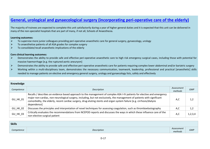### **General, urological and gynaecological surgery (incorporating peri-operative care of the elderly)**

The majority of trainees are expected to complete this unit satisfactorily during a year of higher general duties and it is expected that this unit can be delivered in many of the non-specialist hospitals that are part of many, if not all, Schools of Anaesthesia.

#### **Learning outcomes:**

- $\blacktriangleright$ To supervise more junior colleagues providing peri-operative anaesthetic care for general surgery, gynaecology, urology
- $\blacktriangleright$ To anaesthetise patients of all ASA grades for complex surgery
- $\blacktriangleright$ To consolidate/recall anaesthetic implications of the elderly

- $\blacktriangleright$  Demonstrates the ability to provide safe and effective peri-operative anaesthetic care to high risk emergency surgical cases, including those with potential for massive haemorrhage [e.g. the ruptured aortic aneurysm]
- $\blacktriangleright$ Demonstrates the ability to provide safe and effective peri-operative anaesthetic care for patients requiring complex lower abdominal and/or bariatric surgery
- $\blacktriangleright$  Working within a multi-disciplinary team, demonstrates the necessary communication, teamwork, leadership, professional and practical [anaesthetic] skills needed to manage patients on elective and emergency general surgery, urology and gynaecology lists, safely and effectively

| Knowledge  |                                                                                                                                                                                                                                                                                                                                                                                                |                       |            |
|------------|------------------------------------------------------------------------------------------------------------------------------------------------------------------------------------------------------------------------------------------------------------------------------------------------------------------------------------------------------------------------------------------------|-----------------------|------------|
| Competence | Description                                                                                                                                                                                                                                                                                                                                                                                    | Assessment<br>methods | <b>GMP</b> |
| GU_HK_01   | Recalls / describes an evidence based approach to the management of complex ASA I-IV patients for elective and emergency<br>major non-cardiac, non-neurological surgery, including, but not exclusively, the management of patients with significant<br>comorbidity, the elderly, recent cardiac surgery, drug-eluting stents and organ system failure [e.g. cirrhosis/dialysis<br>dependence] | A,C                   | 1.2        |
| $GU_HK_02$ | Discusses the principles and interpretation of novel techniques for assessing coagulation, such as thromboelastography                                                                                                                                                                                                                                                                         | A,C                   | 1,2        |
| $GU_HK_03$ | Critically evaluates the recommendations from NCEPOD reports and discusses the ways in which these influence care of the<br>non-elective surgical patient                                                                                                                                                                                                                                      | A,C                   | 1,2,3,4    |

| <b>Skills</b> |             |                       |            |
|---------------|-------------|-----------------------|------------|
| Competence    | Description | Assessment<br>methods | <b>GMP</b> |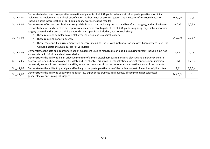|                | Demonstrates focussed preoperative evaluation of patients of all ASA grades who are at risk of post-operative morbidity,                                                                                                                                                                                                                                                                |            |         |
|----------------|-----------------------------------------------------------------------------------------------------------------------------------------------------------------------------------------------------------------------------------------------------------------------------------------------------------------------------------------------------------------------------------------|------------|---------|
| GU_HS_01       | including the implementation of risk stratification methods such as scoring systems and measures of functional capacity                                                                                                                                                                                                                                                                 | D, A, C, M | 1,2,3   |
|                | [including basic interpretation of cardiopulmonary exercise testing results]                                                                                                                                                                                                                                                                                                            |            |         |
| GU HS 02       | Demonstrates effective contribution to surgical decision making including the risks and benefits of surgery, and futility issues                                                                                                                                                                                                                                                        | A, C, M    | 1,2,3,4 |
|                | Demonstrates safe and effective peri-operative anaesthetic care to patients of all ASA grades requiring major intra-abdominal<br>surgery covered in this unit of training under distant supervision including, but not exclusively:                                                                                                                                                     |            |         |
| $GU$ HS $_0$ 3 | Those requiring complex colo-rectal, gynaecological and urological surgery                                                                                                                                                                                                                                                                                                              | A,C,L,M    | 1,2,3,4 |
|                | Those requiring bariatric surgery                                                                                                                                                                                                                                                                                                                                                       |            |         |
|                | Those requiring high risk emergency surgery, including those with potential for massive haemorrhage [e.g. the                                                                                                                                                                                                                                                                           |            |         |
|                | ruptured aortic aneurysm [Cross Ref vascular]]                                                                                                                                                                                                                                                                                                                                          |            |         |
| GU_HS_04       | Demonstrates the safe and appropriate use of equipment used to manage major blood loss during surgery, including but not<br>exclusively rapid infusion and cell saver devices                                                                                                                                                                                                           | A, C, L    | 1,2,3   |
| GU_HS_05       | Demonstrates the ability to be an effective member of a multi-disciplinary team managing elective and emergency general<br>surgery, urology and gynaecology lists, safely and effectively. This implies demonstrating essential generic communication,<br>teamwork, leadership and professional skills, as well as those specific to the perioperative anaesthetic care of the patients | L,M        | 1,2,3,4 |
| GU HS 06       | Demonstrates the ability to participate effectively in the post-operative care of the patient as part of a multi-disciplinary team                                                                                                                                                                                                                                                      | A,C        | 1,2,3,4 |
| GU_HS_07       | Demonstrates the ability to supervise and teach less experienced trainees in all aspects of complex major colorectal,<br>gynaecological and urological surgery                                                                                                                                                                                                                          | D, A, C, M |         |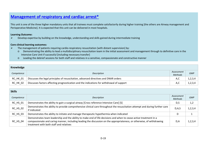### **Management of respiratory and cardiac arrest\***

This unit is one of the three higher mandatory units that all trainees must complete satisfactorily during higher training [the others are Airway management and Perioperative Medicine]. It is expected that this unit can be delivered in most hospitals.

### **Learning Outcome:**

 $\blacktriangleright$ Develop expertise by building on the knowledge, understanding and skills gained during intermediate training

- ➤ The management of patients requiring cardio-respiratory resuscitation [with distant supervision] by:
	- o Demonstrating the ability to lead a multidisciplinary resuscitation team in the initial assessment and management through to definitive care in the Intensive Care Unit if successful [including necessary transfer]
	- o Leading the debrief sessions for both staff and relatives in a sensitive, compassionate and constructive manner

| Knowledge       |                                                                                           |                              |            |
|-----------------|-------------------------------------------------------------------------------------------|------------------------------|------------|
| Competence      | Description                                                                               | Assessment<br><b>Methods</b> | <b>GMP</b> |
| <b>RC HK 01</b> | Discusses the legal principles of resuscitation, advanced directives and DNAR orders      | A,C                          | 1, 2, 3, 4 |
| <b>RC HK 02</b> | Discusses factors affecting prognostication and the indications for withdrawal of support | A,C                          | 1, 2, 3, 4 |

| <b>Skills</b>   |                                                                                                                                                                                                                                                                                         |                       |            |
|-----------------|-----------------------------------------------------------------------------------------------------------------------------------------------------------------------------------------------------------------------------------------------------------------------------------------|-----------------------|------------|
| Competence      | Description                                                                                                                                                                                                                                                                             | Assessment<br>Methods | <b>GMP</b> |
| <b>RC_HS_01</b> | Demonstrates the ability to gain a surgical airway [Cross reference Intensive Care] [S]                                                                                                                                                                                                 | D,S                   | 1,2        |
| RC_HS_02        | Demonstrates the ability to provide comprehensive clinical care throughout the resuscitation attempt and during further care<br>if indicated                                                                                                                                            | D, A, S               | 1, 2, 3, 4 |
| <b>RC HS 03</b> | Demonstrates the ability to initiate and manage therapeutic hypothermia when indicated                                                                                                                                                                                                  | D                     |            |
| <b>RC HS 04</b> | Demonstrates team leadership and the ability to make end of life decisions and when to cease active treatment in a<br>compassionate and caring manner, including leading the discussion on the appropriateness, or otherwise, of withdrawing<br>treatment with both staff and relatives | D,A                   | 1, 2, 3, 4 |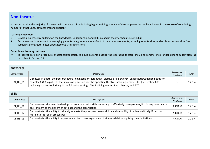### **Non-theatre**

It is expected that the majority of trainees will complete this unit during higher training as many of the competencies can be achieved in the course of completing a number of other units, both general and specialist.

#### **Learning outcomes:**

- $\blacktriangleright$ Develop expertise by building on the knowledge, understanding and skills gained in the intermediate curriculum
- $\blacktriangleright$  Become more independent in managing patients in a greater variety of out of theatre environments, including remote sites, under distant supervision [See section 6.2 for greater detail about Remote Site supervision]

#### **Core clinical learning outcome:**

 $\blacktriangleright$  To deliver safe peri-procedure anaesthesia/sedation to adult patients outside the operating theatre, including remote sites, under distant supervision, as described in Section 6.2

| Knowledge       |                                                                                                                                                                                                                                                                                                                                                          |                              |            |
|-----------------|----------------------------------------------------------------------------------------------------------------------------------------------------------------------------------------------------------------------------------------------------------------------------------------------------------------------------------------------------------|------------------------------|------------|
| Competence      | Description                                                                                                                                                                                                                                                                                                                                              | Assessment<br><b>Methods</b> | <b>GMP</b> |
| <b>DI HK 01</b> | Discusses in-depth, the peri-procedure [diagnostic or therapeutic, elective or emergency] anaesthetic/sedation needs for<br>complex ASA 1-4 patients that may take place outside the operating theatre, including remote sites [See section 6.2],<br>including but not exclusively in the following settings: The Radiology suites, Radiotherapy and ECT |                              |            |

| <b>Skills</b> |                                                                                                                                                                                         |                              |            |
|---------------|-----------------------------------------------------------------------------------------------------------------------------------------------------------------------------------------|------------------------------|------------|
| Competence    | Description                                                                                                                                                                             | Assessment<br><b>Methods</b> | <b>GMP</b> |
| DI_HS_01      | Demonstrates the team leadership and communication skills necessary to effectively manage cases/lists in any non-theatre<br>environment to the benefit of patients and the organisation | A, C, D, M                   | 1, 2, 3, 4 |
| DI_HS_02      | Demonstrates the ability to critically evaluate the pre-operative condition and suitability of patients with significant co-<br>morbidities for such procedures                         | A, C, D, M                   | 1,2,3,4    |
| DI_HS_03      | Demonstrates the ability to supervise and teach less experienced trainees, whilst recognising their limitations                                                                         | A, C, D, M                   | 1, 2, 3, 4 |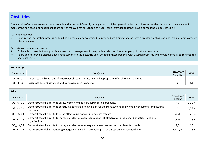### **Obstetrics**

The majority of trainees are expected to complete this unit satisfactorily during a year of higher general duties and it is expected that this unit can be delivered in many of the non-specialist hospitals that are part of many, if not all, Schools of Anaesthesia, provided that they have a consultant-led obstetric unit.

### **Learning outcome:**

 $\blacktriangleright$  Capture the maturation process by building on the experience gained in intermediate training and achieve a greater emphasis on undertaking more complex obstetric cases

- $\blacktriangleright$ To be able to provide the appropriate anaesthetic management for any patient who requires emergency obstetric anaesthesia
- $\blacktriangleright$  To be able to provide elective anaesthetic services to the obstetric unit [excepting those patients with unusual problems who would normally be referred to a specialist centre]

| Knowledge  |                                                                                                           |                              |            |
|------------|-----------------------------------------------------------------------------------------------------------|------------------------------|------------|
| Competence | Description                                                                                               | Assessment<br><b>Methods</b> | <b>GMP</b> |
| OB_HK_01   | Discusses the limitations of a non specialised maternity unit and appropriate referral to a tertiary unit |                              |            |
| OB HK 02   | Discusses current advances and controversies in obstetrics                                                |                              |            |

| <b>Skills</b> |                                                                                                                                       |                      |            |
|---------------|---------------------------------------------------------------------------------------------------------------------------------------|----------------------|------------|
| Competence    | Description                                                                                                                           | Assessment<br>method | <b>GMP</b> |
| OB_HS_01      | Demonstrates the ability to assess women with factors complicating pregnancy                                                          | A,C                  | 1,2,3,4    |
| OB_HS_02      | Demonstrates the ability to construct a safe and effective plan for the management of a women with factors complicating<br>pregnancy  | C                    | 1,2,3,4    |
| OB_HS_03      | Demonstrates the ability to be an effective part of a multidisciplinary team                                                          | A,M                  | 1,2,3,4    |
| OB_HS_04      | Demonstrates the ability to manage an elective caesarean section list effectively, to the benefit of patients and the<br>organisation | A,M                  | 1,2,3,4    |
| OB_HS_05      | Demonstrates the ability to manage an elective or emergency caesarean section for placenta praevia                                    | A,D                  | 1,2        |
| OB_HS_06      | Demonstrates skill in managing emergencies including pre-eclampsia, eclampsia, major haemorrhage                                      | A, C, D, M           | 1,2,3,4    |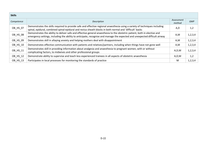| <b>Skills</b> |                                                                                                                                                                                                                                                         |                      |            |
|---------------|---------------------------------------------------------------------------------------------------------------------------------------------------------------------------------------------------------------------------------------------------------|----------------------|------------|
| Competence    | Description                                                                                                                                                                                                                                             | Assessment<br>method | <b>GMP</b> |
| OB_HS_07      | Demonstrates the skills required to provide safe and effective regional anaesthesia using a variety of techniques including<br>spinal, epidural, combined spinal-epidural and rectus sheath blocks in both normal and 'difficult' backs                 | A,D                  | 1,2        |
| OB_HS_08      | Demonstrates the ability to deliver safe and effective general anaesthesia to the obstetric patient, both in elective and<br>emergency settings, including the ability to anticipate, recognise and manage the expected and unexpected difficult airway | A,M                  | 1,2,3,4    |
| OB_HS_09      | Demonstrates skill in allaying anxiety and helping mothers deal with disappointment                                                                                                                                                                     | A,M                  | 1,2,3,4    |
| OB HS 10      | Demonstrates effective communication with patients and relatives/partners, including when things have not gone well                                                                                                                                     | A,M                  | 1,2,3,4    |
| OB_HS_11      | Demonstrates skill in providing information about analgesia and anaesthesia to pregnant women, with or without<br>complicating factors, to midwives and other professional groups                                                                       | A, D, M              | 1,2,3,4    |
| OB HS 12      | Demonstrate ability to supervise and teach less experienced trainees in all aspects of obstetric anaesthesia                                                                                                                                            | A, D, M              | 1,2        |
| OB HS 13      | Participates in local processes for monitoring the standards of practice                                                                                                                                                                                | M                    | 1,2,3,4    |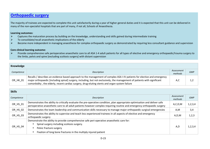### **Orthopaedic surgery**

The majority of trainees are expected to complete this unit satisfactorily during a year of higher general duties and it is expected that this unit can be delivered in many of the non-specialist hospitals that are part of many, if not all, Schools of Anaesthesia.

#### **Learning outcomes:**

- $\blacktriangleright$ Captures the maturation process by building on the knowledge, understanding and skills gained during intermediate training
- $\blacktriangleright$ To consolidate/recall anaesthetic implications of the elderly
- $\blacktriangleright$ Become more independent in managing anaesthesia for complex orthopaedic surgery as demonstrated by requiring less consultant guidance and supervision

#### **Core clinical learning outcome:**

Provide comprehensive safe perioperative anaesthetic care to all ASA 1-4 adult patients for all types of elective and emergency orthopaedic/trauma surgery to<br>The limbe selvice and exise facely discussive surgery during dis  $\blacktriangleright$ the limbs, pelvis and spine [excluding scoliosis surgery] with distant supervision

| Knowledge  |                                                                                                                                                                                                                                                                                                                                                         |                       |            |
|------------|---------------------------------------------------------------------------------------------------------------------------------------------------------------------------------------------------------------------------------------------------------------------------------------------------------------------------------------------------------|-----------------------|------------|
| Competence | <b>Description</b>                                                                                                                                                                                                                                                                                                                                      | Assessment<br>methods | <b>GMP</b> |
| OR_HK_01   | Recalls / describes an evidence based approach to the management of complex ASA I-IV patients for elective and emergency<br>major orthopaedic [including spinal] surgery, including, but not exclusively, the management of patients with significant<br>comorbidity, the elderly, recent cardiac surgery, drug-eluting stents and organ system failure | A,C                   |            |

| <b>Skills</b> |                                                                                                                                                                                                                                                         |                       |            |
|---------------|---------------------------------------------------------------------------------------------------------------------------------------------------------------------------------------------------------------------------------------------------------|-----------------------|------------|
| Competence    | Description                                                                                                                                                                                                                                             | Assessment<br>methods | <b>GMP</b> |
| OR_HS_01      | Demonstrates the ability to critically evaluate the pre-operative condition, plan appropriate optimisation and deliver safe<br>perioperative anaesthetic care to all adult patients however complex requiring routine and emergency orthopaedic surgery | A, C, D, M            | 1,2,3,4    |
| OR_HS_02      | Demonstrates the team leadership and communication skills necessary to manage major orthopaedic surgical emergencies                                                                                                                                    | A,M                   | 3,4        |
| OR_HS_03      | Demonstrates the ability to supervise and teach less experienced trainees in all aspects of elective and emergency<br>orthopaedic surgery                                                                                                               | A,D,M                 | 1, 2, 3    |
| OR_HS_04      | Demonstrate the ability to provide comprehensive safe peri-operative anaesthetic care for:<br>Spinal surgery including scoliosis surgery.<br>Pelvic fracture surgery<br>Fixation of long bone fractures in the multiply injured patient                 | A,D                   | 1, 2, 3, 4 |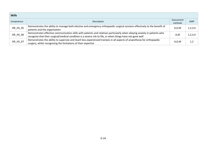| <b>Skills</b> |                                                                                                                                                                                                                                           |                       |            |
|---------------|-------------------------------------------------------------------------------------------------------------------------------------------------------------------------------------------------------------------------------------------|-----------------------|------------|
| Competence    | Description                                                                                                                                                                                                                               | Assessment<br>methods | <b>GMP</b> |
| OR_HS_05      | Demonstrates the ability to manage both elective and emergency orthopaedic surgical sessions effectively to the benefit of<br>patients and the organisation                                                                               | A,D,M                 | 1,2,3,4    |
| OR_HS_06      | Demonstrates effective communication skills with patients and relatives particularly when allaying anxiety in patients who<br>recognise that their surgical/medical condition is a severe risk to life, or when things have not gone well | A,M                   | 1,2,3,4    |
| OR_HS_07      | Demonstrates the ability to supervise and teach less experienced trainees in all aspects of anaesthesia for orthopaedic<br>surgery, whilst recognising the limitations of their expertise                                                 | A,D,M                 | 1,2        |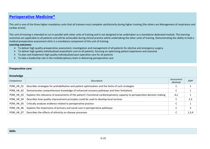### **Perioperative Medicine\***

This unit is one of the three higher mandatory units that all trainees must complete satisfactorily during higher training [the others are Management of respiratory and cardiac arrest].

This unit of training is intended to run in parallel with other units of training and is not designed to be undertaken as a standalone dedicated module. The learning outcomes are applicable to all patients and will be achievable during clinical practice whilst undertaking the other units of training. Demonstrating the ability to lead a medical preoperative assessment clinic is a mandatory component of this unit of training.

#### **Learning outcomes:**

- $\triangleright$  To deliver high quality preoperative assessment, investigation and management of all patients for elective and emergency surgery  $\triangleright$  To deliver high quality individualized assessment, investigated and province a
- $\triangleright$  To deliver high quality individualised anaesthetic care to all patients, focusing on optimising patient experience and outcome
- $\blacktriangleright$ To plan and implement high quality individualised post-operative care for all patients
- $\triangleright$  To take a leadership role in the multidisciplinary team in delivering perioperative care

| <b>Preoperative care:</b> |                                                                                                                               |                       |            |  |
|---------------------------|-------------------------------------------------------------------------------------------------------------------------------|-----------------------|------------|--|
| Knowledge                 |                                                                                                                               |                       |            |  |
| Competence                | Description                                                                                                                   | Assessment<br>Methods | <b>GMP</b> |  |
| POM HK 01                 | Describes strategies for prehabilitation and patient optimisation and the limits of such strategies                           | C                     |            |  |
| POM HK 02                 | Demonstrates comprehensive knowledge of enhanced recovery pathways and their limitations                                      | C                     |            |  |
| POM HK 03                 | Explains the relevance of assessments of the patient's functional cardiorespiratory capacity to perioperative decision making | A,C                   |            |  |
| POM HK 04                 | Describes how quality improvement principles could be used to develop local services                                          |                       | 2,3        |  |
| POM HK 05                 | Critically analyses evidence related to perioperative practice                                                                | C                     |            |  |
| POM HK 06                 | Explains the importance of primary and social care in perioperative pathways                                                  | C                     | 3          |  |
| POM HK 07                 | Describes the effects of ethnicity on disease processes                                                                       | C                     | 1,3,4      |  |

|  | <b>Skills</b> |
|--|---------------|
|  |               |
|  |               |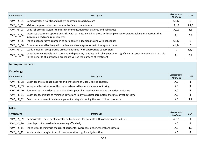| Competence | Description                                                                                                                                                                                                | Assessment<br>Methods | <b>GMP</b> |
|------------|------------------------------------------------------------------------------------------------------------------------------------------------------------------------------------------------------------|-----------------------|------------|
| POM_HS_01  | Demonstrates a holistic and patient centred approach to care                                                                                                                                               | A,L,M                 |            |
| POM_HS_02  | Makes complex clinical decisions in the face of uncertainty                                                                                                                                                | A,L,S                 | 1,2,3      |
| POM HS 03  | Uses risk scoring systems to inform communication with patients and colleagues                                                                                                                             | A, C, L               | 1,3        |
| POM_HS_04  | Discusses treatment options and risks with patients, including those with complex comorbidities, taking into account their<br>individual needs and requirements                                            | A,L                   | 3,4        |
| POM HS 05  | Takes a collaborative approach to perioperative decision making with colleagues                                                                                                                            | A,L,M                 |            |
| POM HS 06  | Communicates effectively with patients and colleagues as part of integrated care                                                                                                                           | A,L,M                 |            |
| POM HS 07  | Leads a medical preoperative assessment clinic (with appropriate supervision)                                                                                                                              |                       | 1,3,4      |
| POM_HS_08  | Contributes sensitively to discussions with patients, relatives and colleagues when significant uncertainty exists with regards<br>to the benefits of a proposed procedure versus the burdens of treatment | A,L                   | 3,4        |

### **Intraoperative care:**

### **Knowledge**

| Competence | Description                                                                                     | Assessment<br><b>Methods</b> | <b>GMP</b> |
|------------|-------------------------------------------------------------------------------------------------|------------------------------|------------|
| POM_HK_08  | Describes the evidence base for and limitations of Goal-Directed Therapy                        | A,C                          |            |
| POM HK 09  | Interprets the evidence of the use of advanced haemodynamic monitoring                          | A,C                          |            |
| POM HK 10  | Summarises the evidence regarding the impact of anaesthetic technique on patient outcome        | A,C                          |            |
| POM HK 11  | Describes techniques to minimise deviations in physiological parameters that may affect outcome | A,C                          |            |
| POM HK 12  | Describes a coherent fluid management strategy including the use of blood products              | A,C                          |            |

| <b>Skills</b> |                                                                                        |                       |            |
|---------------|----------------------------------------------------------------------------------------|-----------------------|------------|
| Competence    | Description                                                                            | Assessment<br>Methods | <b>GMP</b> |
| POM HS 09     | Demonstrates mastery of anaesthetic techniques for patients with complex comorbidities | A, D, S               |            |
| POM HS 10     | Uses depth of anaesthesia monitoring effectively                                       | A,C                   |            |
| POM HS 11     | Takes steps to minimise the risk of accidental awareness under general anaesthesia     | A,C                   | 1,2        |
| POM HS 12     | Implements strategies to avoid post-operative cognitive dysfunction                    | A,C                   |            |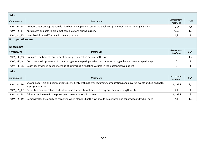| <b>Skills</b>                                  |                                                                                                                                                |                              |            |
|------------------------------------------------|------------------------------------------------------------------------------------------------------------------------------------------------|------------------------------|------------|
| Competence                                     | Description                                                                                                                                    | Assessment<br><b>Methods</b> | <b>GMP</b> |
| POM_HS_13                                      | Demonstrates an appropriate leadership role in patient safety and quality improvement within an organisation                                   | A,L,S                        | 2,3        |
| POM_HS_14                                      | Anticipates and acts to pre-empt complications during surgery                                                                                  | A, L, S                      | 1,3        |
| POM_HS_15                                      | Uses Goal-directed Therapy in clinical practice                                                                                                | A,S                          | 1          |
| <b>Postoperative care:</b><br><b>Knowledge</b> |                                                                                                                                                |                              |            |
| Competence                                     | Description                                                                                                                                    | Assessment<br><b>Methods</b> | <b>GMP</b> |
| POM_HK_13                                      | Evaluates the benefits and limitations of perioperative patient pathways                                                                       | C                            | 1,2        |
| POM_HK_14                                      | Describes the importance of pain management in perioperative outcomes including enhanced recovery pathways                                     | С                            | 1          |
| POM_HK_15                                      | Describes evidence-based methods of optimising circulating volume in the postoperative patient                                                 | C                            | 1          |
| <b>Skills</b>                                  |                                                                                                                                                |                              |            |
| Competence                                     | Description                                                                                                                                    | Assessment<br><b>Methods</b> | <b>GMP</b> |
| POM_HS_16                                      | Shows leadership and communicates sensitively with patients regarding complications and adverse events and co-ordinates<br>appropriate actions | A,L,M,S                      | 3,4        |
| POM_HS_17                                      | Prescribes postoperative medications and therapy to optimise recovery and minimise length of stay                                              | A,L                          | 1          |
| POM_HS_18                                      | Takes an active role in the post-operative multidisciplinary team                                                                              | A,L,M,S                      | 3          |
| POM_HS_19                                      | Demonstrates the ability to recognise when standard pathways should be adapted and tailored to individual need                                 | A,L                          | 1,2        |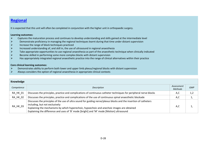### **Regional**

It is expected that this unit will often be completed in conjunction with the higher unit in orthopaedic surgery.

#### **Learning outcomes:**

- $\triangleright$  Captures the maturation process and continues to develop understanding and skills gained at the intermediate level  $\blacktriangleright$
- $\blacktriangleright$ Demonstrate proficiency in managing the regional techniques learnt during that time under distant supervision
- $\blacktriangleright$ Increase the range of block techniques practiced
- $\blacktriangleright$ Increased understanding of, and skill in, the use of ultrasound in regional anaesthesia
- $\blacktriangleright$ Take appropriate opportunities to use regional anaesthesia as part of the anaesthetic technique when clinically indicated
- $\blacktriangleright$ Become skilled in performing some more complex blocks with distant supervision
- $\blacktriangleright$ Has appropriately integrated regional anaesthetic practice into the range of clinical alternatives within their practice

- $\blacktriangleright$ Demonstrates ability to perform both lower and upper limb plexus/regional blocks with distant supervision
- ⋗ Always considers the option of regional anaesthesia in appropriate clinical contexts

| Knowledge       |                                                                                                                                                                                                                                                                                                                                                 |                       |            |
|-----------------|-------------------------------------------------------------------------------------------------------------------------------------------------------------------------------------------------------------------------------------------------------------------------------------------------------------------------------------------------|-----------------------|------------|
| Competence      | Description                                                                                                                                                                                                                                                                                                                                     | Assessment<br>Methods | <b>GMP</b> |
| <b>RA_HK_01</b> | Discusses the principles, practice and complications of continuous catheter techniques for peripheral nerve blocks                                                                                                                                                                                                                              | A,C                   | 1,2        |
| RA HK 02        | Discusses the principles, practice and complications of the use of continuous spinal anaesthetic blockade                                                                                                                                                                                                                                       | A,C                   | д,         |
| RA_HK_03        | Discusses the principles of the use of ultra sound for guiding nerve/plexus blocks and the insertion of catheters<br>including, but not exclusively:<br>Explaining the mechanisms by which hyperechoic, hypoechoic and anechoic images are obtained<br>Explaining the difference and uses of 'B' mode [bright] and 'M' mode [Motion] ultrasound | A,C                   |            |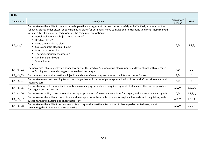| <b>Skills</b> |                                                                                                                                                                                                                                                                                                                                                                                                                                                                                                                                                                                                  |                      |              |
|---------------|--------------------------------------------------------------------------------------------------------------------------------------------------------------------------------------------------------------------------------------------------------------------------------------------------------------------------------------------------------------------------------------------------------------------------------------------------------------------------------------------------------------------------------------------------------------------------------------------------|----------------------|--------------|
| Competence    | Description                                                                                                                                                                                                                                                                                                                                                                                                                                                                                                                                                                                      | Assessment<br>method | <b>GMP</b>   |
| RA_HS_01      | Demonstrates the ability to develop a peri-operative management plan and perform safely and effectively a number of the<br>following blocks under distant supervision using either/or peripheral nerve stimulation or ultrasound guidance [those marked<br>with an asterisk are considered essential, the remainder are optional]:<br>Peripheral nerve blocks [e.g. femoral nerve]*<br>$\bullet$<br>Brachial plexus*<br>Deep cervical plexus blocks<br>Supra and infra clavicular blocks<br>Intercostal nerve blocks<br>Thoracic epidural anaesthesia*<br>Lumbar plexus blocks<br>Sciatic blocks | A, D                 | 1,2,3,       |
| RA_HS_02      | Demonstrates clinically relevant sonoanaotomy of the brachial & lumbosacral plexus [upper and lower limb] with reference<br>to performing recommended regional anaesthetic techniques                                                                                                                                                                                                                                                                                                                                                                                                            | A,D                  | 1,2          |
| RA_HS_03      | Can demonstrate local anaesthetic injection and circumferential spread around the intended nerve / plexus                                                                                                                                                                                                                                                                                                                                                                                                                                                                                        | A,D                  | $\mathbf{1}$ |
| RA_HS_04      | Demonstrates correct needling technique using either an in or out of plane approach with ultrasound [Cross ref vascular and<br>intensive care]                                                                                                                                                                                                                                                                                                                                                                                                                                                   | A,D                  | $\mathbf{1}$ |
| RA_HS_05      | Demonstrates good communication skills when managing patients who requires regional blockade and the staff responsible<br>for surgical and nursing care                                                                                                                                                                                                                                                                                                                                                                                                                                          | A, D, M              | 1,2,3,4,     |
| RA_HS_06      | Demonstrates ability to lead discussions on appropriateness of a regional technique for surgery and post-operative analgesia                                                                                                                                                                                                                                                                                                                                                                                                                                                                     | A,D                  | 1, 2, 3, 4,  |
| RA_HS_07      | Demonstrates the ability to co-ordinate and manage a list with suitable patients for regional blockade including liaising with<br>surgeons, theatre nursing and anaesthetic staff                                                                                                                                                                                                                                                                                                                                                                                                                | A,D,M                | 1, 2, 3, 4,  |
| RA_HS_08      | Demonstrates the ability to supervise and teach regional anaesthetic techniques to less experienced trainees, whilst<br>recognising the limitations of their expertise                                                                                                                                                                                                                                                                                                                                                                                                                           | A, D, M              | 1, 2, 3, 4   |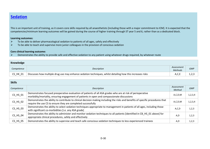### **Sedation**

This is an important unit of training, as it covers core skills required by all anaesthetists [including those with a major commitment to ICM]. It is expected that the competencies/minimum learning outcomes will be gained during the course of higher training through ST year 5 and 6, rather than as a dedicated block.

### **Learning outcomes:**

- $\blacktriangleright$ To be able to deliver pharmacological sedation to patients of all ages, safely and effectively
- $\blacktriangleright$ To be able to teach and supervise more junior colleagues in the provision of conscious sedation

### **Core clinical learning outcome:**

 $\blacktriangleright$ Demonstrates the ability to provide safe and effective sedation to any patient using whatever drugs required, by whatever route

| Knowledge  |                                                                                                                   |                       |            |
|------------|-------------------------------------------------------------------------------------------------------------------|-----------------------|------------|
| Competence | Description                                                                                                       | Assessment<br>Methods | <b>GMP</b> |
| $CS_HK_01$ | $\Box$ Discusses how multiple drug use may enhance sedation techniques, whilst detailing how this increases risks | A,C,E                 | ں مر د     |

| <b>Skills</b>              |                                                                                                                                                                                                           |                      |            |
|----------------------------|-----------------------------------------------------------------------------------------------------------------------------------------------------------------------------------------------------------|----------------------|------------|
| Competence                 | Description                                                                                                                                                                                               | Assessment<br>Method | <b>GMP</b> |
| $CS_HS_01$                 | Demonstrates focused preoperative evaluation of patients of all ASA grades who are at risk of perioperative<br>morbidity/mortality, ensuring engagement of patients in open and compassionate discussions | A, C, D, M           | 1, 2, 3, 4 |
| CS_HS_02                   | Demonstrates the ability to contribute to clinical decision making including the risks and benefits of specific procedures that<br>require the use CS to ensure they are completed successfully           | A, C, D, M           | 1, 2, 3, 4 |
| $CS_HS_03$                 | Demonstrates the ability to select sedation techniques appropriate to management in patients of all ages, including those<br>with significant co-morbidities [i.e. any ASA grade]                         | A,C,D                | 1,2,3      |
| $CS_HS_04$                 | Demonstrates the ability to administer and monitor sedation techniques to all patients [identified in CB HS 01 above] for<br>appropriate clinical procedures, safely and effectively                      | A.D                  | 1,2,3      |
| $CS$ <sub>_HS</sub> $_0$ 5 | Demonstrates the ability to supervise and teach safe conscious sedation techniques to less experienced trainees                                                                                           | A,D                  | 1,2,3      |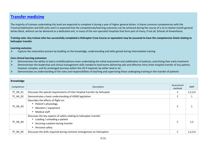### **Transfer medicine**

The majority of trainees undertaking this level are expected to complete it during a year of higher general duties. It shares common competencies with the Trauma/stabilisation and ICM units and it is expected that the competencies/learning outcomes can be achieved during the course of a six to twelve month generalduties block, without can be delivered as a dedicated unit, in many of the non-specialist hospitals that form part of many, if not all, Schools of Anaesthesia.

**Training note: Any trainee who has successfully completed a Helicopter Crew Course or equivalent may be assumed to have the competencies listed relating to helicopter transfer** 

#### **Learning outcome:**

 $\blacktriangleright$ Capture the maturation process by building on the knowledge, understanding and skills gained during intermediate training

- $\blacktriangleright$ Demonstrates the ability to lead a multidisciplinary team undertaking the initial assessment and stabilisation of patients, prioritising their early treatment
- $\blacktriangleright$  Demonstrates the leadership and clinical management skills needed to lead teams delivering safe and effective intra-/inter hospital transfer of any patient, however complex, and for prolonged journeys within the UK if required, by either land or air.
- $\blacktriangleright$ Demonstrates an understanding of the roles and responsibilities of teaching and supervising those undergoing training in the transfer of patients

| Knowledge       |                                                                                                                                                                                          |                       |            |
|-----------------|------------------------------------------------------------------------------------------------------------------------------------------------------------------------------------------|-----------------------|------------|
| Competence      | Description                                                                                                                                                                              | Assessment<br>methods | <b>GMP</b> |
| TF_HK_01        | Discusses the special requirements of inter-hospital transfer by helicopter                                                                                                              | C                     | 1, 2, 3, 4 |
| TF_HK_02        | Demonstrates a basic understanding of HEMS legislation                                                                                                                                   | C                     |            |
| TF_HK_03        | Describes the effects of flight on:<br>Patient's physiology<br>$\bullet$<br>Monitors / equipment<br>Medical staff<br>$\bullet$                                                           |                       |            |
| TF_HK_04        | Discusses the key aspects of safety relating to helicopter transfer:<br>Loading / unloading a patient<br>$\bullet$<br>Securing a patient during transfer<br>$\bullet$<br>Personal safety | C                     | 1,2        |
| <b>TF HK 05</b> | Discusses the drills required during common emergencies on helicopters                                                                                                                   | C                     | 1,2,3,4    |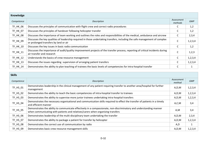| Knowledge       |                                                                                                                                                                      |                       |            |
|-----------------|----------------------------------------------------------------------------------------------------------------------------------------------------------------------|-----------------------|------------|
| Competence      | Description                                                                                                                                                          | Assessment<br>methods | <b>GMP</b> |
| TF_HK_06        | Discusses the principles of communication with flight crew and correct radio procedures                                                                              |                       | 1,2        |
| <b>TF HK 07</b> | Discusses the principles of handover following helicopter transfer                                                                                                   |                       | 1,2        |
| <b>TF HK 08</b> | Discusses the importance of team working and outlines the roles and responsibilities of the medical, ambulance and aircrew                                           |                       | 2,3,4      |
| TF_HK_09        | Discusses the key qualities of leadership required in those undertaking transfers, including the safe management of complex<br>or prolonged transfers by land or air | C                     | 1,2,3,4    |
| TF_HK_10        | Discusses the key issues in basic radio communication                                                                                                                | C                     | 1,2        |
| TF_HK_11        | Discusses the importance of audit/quality improvement projects of the transfer process, reporting of critical incidents during<br>air transfer and research          | C                     | 1,2,3      |
| TF_HK_12        | Understands the basics of crew resource management                                                                                                                   | C                     | 1,2,3,4    |
| <b>TF HK 13</b> | Discusses the issues regarding supervision of arranging patient transfers                                                                                            |                       | 1, 2, 3, 4 |
| <b>TF HK 14</b> | Demonstrates the ability to plan teaching of trainees the basic levels of competencies for intra-hospital transfer                                                   |                       |            |

| <b>Skills</b>   |                                                                                                                                                                                                        |                      |            |
|-----------------|--------------------------------------------------------------------------------------------------------------------------------------------------------------------------------------------------------|----------------------|------------|
| Competence      | Description                                                                                                                                                                                            | Assessment<br>method | <b>GMP</b> |
| $TF_HS_01$      | Demonstrates leadership in the clinical management of any patient requiring transfer to another area/hospital for further<br>management                                                                | A,D,M                | 1,2,3,4    |
| <b>TF HS 02</b> | Demonstrates the ability to teach the basic competencies of intra-hospital transfer to trainees                                                                                                        | A, D, M              | 1,2,3,4    |
| TF_HS_03        | Demonstrates the ability to supervise more junior trainees undertaking intra-hospital transfers                                                                                                        | A, D, M              | 1,2,3,4    |
| TF_HS_04        | Demonstrates the necessary organisational and communication skills required to effect the transfer of patients in a timely<br>and efficient manner                                                     | A, C, M              | 3,4        |
| TF_HS_05        | Demonstrates the ability to communicate effectively in a compassionate, non-discriminatory and understanding manner<br>when communicating with patients and relatives/carers when organising transfers | A,M                  | 3,4        |
| <b>TF HS 06</b> | Demonstrates leadership of the multi-disciplinary team undertaking the transfer                                                                                                                        | A, D, M              | 2,3,4      |
| <b>TF HS 07</b> | Demonstrates the ability to package a patient for transfer by helicopter                                                                                                                               | A, D, M              | 1,2,3,4    |
| <b>TF HS 08</b> | Demonstrates the correct use of communication by radio                                                                                                                                                 | A,D                  | 1          |
| <b>TF HS 09</b> | Demonstrates basic crew resource management skills                                                                                                                                                     | A, D, M              | 1,2,3,4    |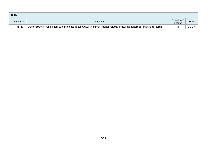| <b>Skills</b>   |                                                                                                                           |                      |            |
|-----------------|---------------------------------------------------------------------------------------------------------------------------|----------------------|------------|
| Competence      | Description                                                                                                               | Assessment<br>method | <b>GMP</b> |
| <b>TF HS 10</b> | Demonstrates a willingness to participate in audit/quality improvement projects, critical incident reporting and research | M                    | 1,2,3,4    |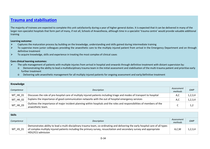### **Trauma and stabilisation**

The majority of trainees are expected to complete this unit satisfactorily during a year of higher general duties. It is expected that it can be delivered in many of the larger non-specialist hospitals that form part of many, if not all, Schools of Anaesthesia, although time in a specialist 'trauma centre' would provide valuable additional training

#### **Learning outcome:**

- $\blacktriangleright$ Captures the maturation process by building on the knowledge, understanding and skills gained during intermediate training
- $\blacktriangleright$  To supervise more junior colleagues providing the anaesthetic care to the multiply injured patient from arrival in the Emergency Department and on through definitive treatment
- $\triangleright$  To acquire knowledge, skills and experience in treating the most complex of clinical cases  $\blacktriangleright$

- $\blacktriangleright$ The safe management of patients with multiple injuries from arrival in hospital and onwards through definitive treatment with distant supervision by:<br>O Demonstrating the ability to lead a multidisciplinary trauma team in t
	- Demonstrating the ability to lead a multidisciplinary trauma team in the initial assessment and stabilisation of the multi-trauma patient and prioritise early further treatment
	- o Delivering safe anaesthetic management for all multiply injured patients for ongoing assessment and early/definitive treatment

| Knowledge  |                                                                                                                                               |                       |            |
|------------|-----------------------------------------------------------------------------------------------------------------------------------------------|-----------------------|------------|
| Competence | Description                                                                                                                                   | Assessment<br>methods | <b>GMP</b> |
| MT_HK_01   | Discusses the role of pre-hospital care of multiply injured patients including triage and modes of transport to hospital                      | A,C                   | 1, 2, 3, 4 |
| MT_HK_02   | Explains the importance of good communication networks with the out of hospital emergency services                                            | A,C                   | 1, 2, 3, 4 |
| MT_HK_03   | Outlines the importance of major incident planning within hospitals and the roles and responsibilities of members of the<br>anaesthetic team. |                       | 1,2        |

| <b>Skills</b> |                                                                                                                                                                                                                                                                                |                       |            |
|---------------|--------------------------------------------------------------------------------------------------------------------------------------------------------------------------------------------------------------------------------------------------------------------------------|-----------------------|------------|
| Competence    | Description                                                                                                                                                                                                                                                                    | Assessment<br>methods | <b>GMP</b> |
| MT HS 01      | Demonstrates ability to lead a multi-disciplinary trauma team, co-ordinating and delivering the early hospital care of all types<br>of complex multiply injured patients including the primary survey, resuscitation and secondary survey and appropriate<br>HDU/ICU admission | A, C, M               | 1, 2, 3, 4 |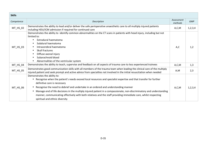| <b>Skills</b> |                                                                                                                                                                                                                                                                                                                                                                                                                                                                                                                                                                                             |                       |            |
|---------------|---------------------------------------------------------------------------------------------------------------------------------------------------------------------------------------------------------------------------------------------------------------------------------------------------------------------------------------------------------------------------------------------------------------------------------------------------------------------------------------------------------------------------------------------------------------------------------------------|-----------------------|------------|
| Competence    | Description                                                                                                                                                                                                                                                                                                                                                                                                                                                                                                                                                                                 | Assessment<br>methods | <b>GMP</b> |
| MT_HS_02      | Demonstrates the ability to lead and/or deliver the safe perioperative anaesthetic care to all multiply injured patients<br>including HDU/ICM admission if required for continued care                                                                                                                                                                                                                                                                                                                                                                                                      | A,C,M                 | 1,2,3,4    |
| $MT$ HS $03$  | Demonstrates the ability to identify common abnormalities on the CT scans in patients with head injury, including but not<br>limited to:<br>Extradural haematoma<br>$\bullet$<br>Subdural haematoma<br>$\bullet$<br>Intracerebral haematoma<br>Skull fractures<br>$\bullet$<br>Diffuse axonal injury<br>$\bullet$<br>Subarachnoid blood<br>$\bullet$<br>Abnormalities of the ventricular system                                                                                                                                                                                             | A,C                   | 1,2        |
| MT_HS_04      | Demonstrates the ability to teach, supervise and feedback on all aspects of trauma care to less experienced trainees                                                                                                                                                                                                                                                                                                                                                                                                                                                                        | A, C, M               | 1,3        |
| MT_HS_05      | Demonstrates good communication skills with all members of the trauma team when leading the clinical care of the multiply<br>injured patient and seek prompt and active advice from specialties not involved in the initial resuscitation when needed                                                                                                                                                                                                                                                                                                                                       | A,M                   | 2,3        |
| MT_HS_06      | Demonstrates the ability to:<br>Recognise when the patient's needs exceed local resources and specialist expertise and that transfer for further<br>$\bullet$<br>definitive care is necessary<br>Recognise the need to debrief and undertake in an ordered and understanding manner<br>$\bullet$<br>Manage end of life decisions in the multiply injured patient in a compassionate, non-discriminatory and understanding<br>$\bullet$<br>manner, communicating effectively with both relatives and the staff providing immediate care, whilst respecting<br>spiritual and ethnic diversity | A, C, M               | 1,2,3,4    |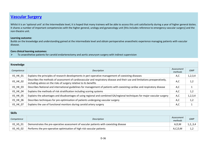### **Vascular Surgery**

Whilst it is an 'optional unit' at the Intermediate level, it is hoped that many trainees will be able to access this unit satisfactorily during a year of higher general duties. It shares a number of important competencies with the higher general, urology and gynaecology unit [this includes reference to emergency vascular surgery] and the non-theatre unit.

### **Learning outcome:**

Builds on the knowledge and understanding gained at the intermediate level and obtain perioperative anaesthetic experience managing patients with vascular disease.

#### **Core clinical learning outcomes:**

 $\triangleright$  To anaesthetise patients for carotid endarterectomy and aortic aneurysm surgery with indirect supervision  $\blacktriangleright$ 

| Knowledge       |                                                                                                                                                                                                  |                       |            |  |
|-----------------|--------------------------------------------------------------------------------------------------------------------------------------------------------------------------------------------------|-----------------------|------------|--|
| Competence      | Description                                                                                                                                                                                      | Assessment<br>methods | <b>GMP</b> |  |
| <b>VS_HK_01</b> | Explains the principles of research developments in peri-operative management of coexisting diseases                                                                                             | A,C                   | 1,2,3,4    |  |
| <b>VS_HK_02</b> | Describes the methods of assessment of cardiovascular and respiratory disease and their use and limitations preoperatively,<br>including advice on the risks of surgery relative to its benefits | A,C                   | 1,2        |  |
| <b>VS HK 03</b> | Describes National and international guidelines for management of patients with coexisting cardiac and respiratory disease                                                                       | A,C                   |            |  |
| <b>VS_HK_04</b> | Explains the methods of risk stratification including scoring systems                                                                                                                            | A,C                   | 1,2        |  |
| <b>VS_HK_05</b> | Explains the advantages and disadvantages of using regional and combined GA/regional techniques for major vascular surgery                                                                       | A,C                   | 1,2,3,4    |  |
| <b>VS HK 06</b> | Describes techniques for pre-optimisation of patients undergoing vascular surgery                                                                                                                | A,C                   | 1,2        |  |
| <b>VS HK 07</b> | Explains the use of functional monitors during carotid artery surgery                                                                                                                            | A,C                   |            |  |

| <b>Skills</b> |                                                                                        |                       |            |
|---------------|----------------------------------------------------------------------------------------|-----------------------|------------|
| Competence    | Description                                                                            | Assessment<br>methods | <b>GMP</b> |
| VS_HS_01      | Demonstrates the pre-operative assessment of vascular patients with coexisting disease | A,D,M                 | 1, 2, 3, 4 |
| VS HS 02      | Performs the pre-operative optimisation of high risk vascular patients                 | A, C, D, M            | 1,2        |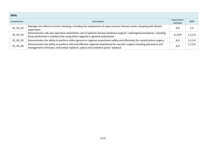| <b>Skills</b>              |                                                                                                                                                                                                               |                       |            |
|----------------------------|---------------------------------------------------------------------------------------------------------------------------------------------------------------------------------------------------------------|-----------------------|------------|
| Competence                 | Description                                                                                                                                                                                                   | Assessment<br>methods | <b>GMP</b> |
| VS_HS_03                   | Manages the effects of aortic clamping, including the implications of supra-renal or thoracic aortic clamping with distant<br>supervision                                                                     | A,D                   | 1,2        |
| $VS$ <sub>_HS</sub> $_04$  | Demonstrates safe peri-operative anaesthetic care of patients having combined surgical / radiological procedures, including<br>those performed in isolated sites using either regional or general anaesthesia | A, D, M               | 1,2,3,4    |
| <b>VS HS 05</b>            | Demonstrates the ability to perform either general or regional anaesthesia safely and effectively for carotid artery surgery                                                                                  | A,D                   | 1,2,3,4    |
| $VS$ <sub>_HS</sub> $_0$ 6 | Demonstrates the ability to perform safe and effective regional anaesthesia for vascular surgery including placement and<br>management of thoracic and lumbar epidural, spinal and combined spinal -epidural  | A,D                   | 1,2,3,4    |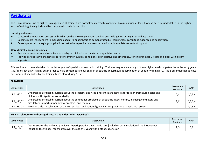### **Paediatrics**

This is an essential unit of higher training, which all trainees are normally expected to complete. As a minimum, at least 4 weeks must be undertaken in the higher years of training. Ideally it should be completed as a dedicated block.

#### **Learning outcomes:**

- $\blacktriangleright$ Capture the maturation process by building on the knowledge, understanding and skills gained during intermediate training
- $\blacktriangleright$ Become more independent in managing paediatric anaesthesia as demonstrated by requiring less consultant guidance and supervision
- $\blacktriangleright$ Be competent at managing complications that arise in paediatric anaesthesia without immediate consultant support

### **Core clinical learning outcomes:**

- $\triangleright$  Be able to resuscitate and stabilise a sick baby or child prior to transfer to a specialist centre  $\blacktriangleright$
- $\blacktriangleright$  Provide perioperative anaesthetic care for common surgical conditions, both elective and emergency, for children aged 3 years and older with distant supervision

This section is to be undertaken in the latter years of specialist anaesthetic training. Trainees may achieve many of these higher level competencies in the early years [ST3/4] of speciality training but in order to have contemporaneous skills in paediatric anaesthesia at completion of specialty training [CCT] it is essential that at least one month of paediatric higher training takes place during ST6/7

| Knowledge  |                                                                                                                                                                                |                              |            |
|------------|--------------------------------------------------------------------------------------------------------------------------------------------------------------------------------|------------------------------|------------|
| Competence | Description                                                                                                                                                                    | Assessment<br><b>Methods</b> | <b>GMP</b> |
| PA_HK_01   | Undertakes a critical discussion about the problems and risks inherent in anaesthesia for former premature babies and<br>children with significant co-morbidity                | A,C                          | 1, 2, 3, 4 |
| PA_HK_02   | Undertakes a critical discussion about the commoner problems of paediatric intensive care, including ventilatory and<br>circulatory support, upper airway problems and trauma. | A,C                          | 1, 2, 3, 4 |
| PA_HK_03   | Provides a clear explanation of the current local and national guidelines for provision of paediatric services                                                                 | ◡                            | 1,2,3,4    |

| Skills in relation to children aged 3 years and older (unless specified): |                                                                                                                                                                                                             |                              |            |
|---------------------------------------------------------------------------|-------------------------------------------------------------------------------------------------------------------------------------------------------------------------------------------------------------|------------------------------|------------|
| Competence                                                                | Description                                                                                                                                                                                                 | Assessment<br><b>Methods</b> | <b>GMP</b> |
| PA_HS_01                                                                  | Demonstrates the ability to provide safe perioperative anaesthetic care [including both inhalational and intravenous<br>induction techniques] for children over the age of 3 years with distant supervision | A.L                          | ے , د      |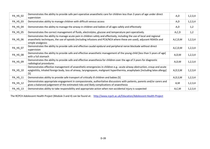| PA_HS_02 | Demonstrates the ability to provide safe peri-operative anaesthetic care for children less than 3 years of age under direct<br>supervision                                                                                                                               | A,D        | 1,2,3,4    |
|----------|--------------------------------------------------------------------------------------------------------------------------------------------------------------------------------------------------------------------------------------------------------------------------|------------|------------|
| PA_HS_03 | Demonstrates ability to manage children with difficult venous access                                                                                                                                                                                                     | A,D        | 1,2,3,4    |
| PA_HS_04 | Demonstrates the ability to manage the airway in children and babies of all ages safely and effectively                                                                                                                                                                  | A,D        | 1,2        |
| PA_HS_05 | Demonstrates the correct management of fluids, electrolytes, glucose and temperature peri-operatively.                                                                                                                                                                   | A, C, D    | 1,2        |
| PA_HS_06 | Demonstrates the ability to manage acute pain in children safely and effectively, including the use of local and regional<br>anaesthetic techniques, the use of opioids (including infusions and PCA/NCA where these are used), adjuvant NSAIDs and<br>simple analgesics | A, C, D, M | 1,2,3,4    |
| PA_HS_07 | Demonstrates the ability to provide safe and effective caudal epidural and peripheral nerve blockade without direct<br>supervision                                                                                                                                       | A, C, D, M | 1,2,3,4    |
| PA_HS_08 | Demonstrates the ability to provide safe and effective anaesthetic management of the young child [less than 5 years of age]<br>with a full stomach                                                                                                                       | A, D, M    | 1,2,3,4    |
| PA_HS_09 | Demonstrates the ability to provide safe and effective anaesthesia for children over the age of 3 years for diagnostic<br>radiological procedures                                                                                                                        | A, D, M    | 1,2,3,4    |
| PA_HS_10 | Demonstrates effective management of anaesthetic emergencies in children e.g.: acute airway obstruction, croup and acute<br>epiglottitis, inhaled foreign body, loss of airway, laryngospasm, malignant hyperthermia, anaphylaxis [including latex allergy]<br>[S]       | A, D, S, M | 1,2,3,4    |
| PA_HS_11 | Demonstrates ability to provide safe transport of critically ill children and babies [S]                                                                                                                                                                                 | A, D, S, M | 1,2,3,4    |
| PA_HS_12 | Demonstrates appropriate engagement in compassionate, authoritative discussions with patients, parents and/or carers and<br>gives a balanced judgement of the estimated risks and likely complications of anaesthesia                                                    | A,M        | 1,2,3,4    |
| PA_HS_13 | Demonstrates ability to take responsibility and appropriate action when non-accidental injury is suspected                                                                                                                                                               | A,C,M      | 1, 2, 3, 4 |

The RCPCH Adolescent Health Project (Module 3 and 4) can be found at: http://www.rcpch.ac.uk/Education/Adolescent-Health-Project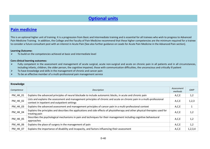### **Optional units**

### **Pain medicine**

This is an optional higher unit of training. It is a progression from Basic and Intermediate training and is essential for all trainees who wish to progress to Advanced Pain Medicine Training. In addition, the College and the Faculty of Pain Medicine recommend that these higher competencies are the minimum required for a trainee to consider a future consultant post with an interest in Acute Pain [See also further guidance on Leads for Acute Pain Medicine in the Advanced Pain section].

#### **Learning Outcome:**

 $\triangleright$  To build on the competencies achieved at basic and intermediate level  $\blacktriangleright$ 

- $\blacktriangleright$  Fully competent in the assessment and management of acute surgical, acute non-surgical and acute on chronic pain in all patients and in all circumstances, including infants, children, the older person, the cognitive impaired, those with communication difficulties, the unconscious and critically ill patient
- $\blacktriangleright$ To have knowledge and skills in the management of chronic and cancer pain
- $\blacktriangleright$ To be an effective member of a multi-professional pain management service

| Knowledge       |                                                                                                                                                                          |                       |            |
|-----------------|--------------------------------------------------------------------------------------------------------------------------------------------------------------------------|-----------------------|------------|
| Competence      | Description                                                                                                                                                              | Assessment<br>methods | <b>GMP</b> |
| PM_HK_01        | Explains the advanced principles of neural blockade to include autonomic blocks, in acute and chronic pain                                                               | A, C, E               | 1,2        |
| <b>PM_HK_02</b> | Lists and explains the assessment and management principles of chronic and acute on chronic pain in a multi-professional<br>context in inpatient and outpatient settings | A, C, E               | 1,2,3      |
| PM_HK_03        | Explains the advanced assessment and management principles of cancer pain in a multi-professional context                                                                | A, C, E               |            |
| PM_HK_04        | Explains the principles and describes the applications and side effects of physiotherapy and other physical therapies used for<br>treating pain                          | A, C, E               | 1,2        |
| PM_HK_05        | Describes the psychological mechanisms in pain and techniques for their management including cognitive behavioural<br>approaches                                         | A, C, E               | 1,2        |
| PM_HK_06        | Explains the place of surgery in the management of pain                                                                                                                  | A, C, E               | 1,2        |
| <b>PM HK 07</b> | Explains the importance of disability and incapacity, and factors influencing their assessment                                                                           | A, C, E               | 1,2,3,4    |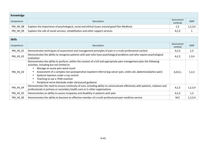| Knowledge       |                                                                                               |                       |            |  |
|-----------------|-----------------------------------------------------------------------------------------------|-----------------------|------------|--|
| Competence      | Description                                                                                   | Assessment<br>methods | <b>GMP</b> |  |
| <b>PM_HK_08</b> | Explains the importance of psychological, social and ethical issues around good Pain Medicine | C,E                   | 1,2,3,4    |  |
| <b>PM HK 09</b> | Explains the role of social services, rehabilitation and other support services               | A,C,E                 |            |  |

| <b>Skills</b>   |                                                                                                                                                                                                                                                                                                                                                                                                                                                                                                                               |                      |            |  |
|-----------------|-------------------------------------------------------------------------------------------------------------------------------------------------------------------------------------------------------------------------------------------------------------------------------------------------------------------------------------------------------------------------------------------------------------------------------------------------------------------------------------------------------------------------------|----------------------|------------|--|
| Competence      | Description                                                                                                                                                                                                                                                                                                                                                                                                                                                                                                                   | Assessment<br>method | <b>GMP</b> |  |
| <b>PM HS 01</b> | Demonstrates techniques of assessment and management principles of pain in a multi-professional context                                                                                                                                                                                                                                                                                                                                                                                                                       | A, C, E              | 1,3        |  |
| PM_HS_02        | Demonstrates the ability to recognise patients with pain who have psychological problems and who require psychological<br>evaluation                                                                                                                                                                                                                                                                                                                                                                                          | A,C,E                | 1,3,4      |  |
| PM_HS_03        | Demonstrates the ability to perform, within the context of a full and appropriate pain management plan the following<br>activities, including but not limited to:<br>Manage an acute pain ward round<br>$\bullet$<br>Assessment of a complex non-postoperative inpatient referral [eg cancer pain, sickle cell, abdominal/pelvic pain]<br>$\bullet$<br>Epidural injection under x-ray control<br>$\bullet$<br>Teaching to use a TENS machine<br>$\bullet$<br>Peripheral nerve blockade under ultrasound guidance<br>$\bullet$ | A, D, E, L           | 1,2,3      |  |
| PM_HS_04        | Demonstrates the need to ensure continuity of care, including ability to communicate effectively with patients, relatives and<br>professionals in primary or secondary health care or in other organisations                                                                                                                                                                                                                                                                                                                  | A, C, E              | 1,2,3,4    |  |
| <b>PM HS 05</b> | Demonstrates an ability to assess incapacity and disability in patients with pain                                                                                                                                                                                                                                                                                                                                                                                                                                             | A, C, E              | 1,3        |  |
| PM_HS_06        | Demonstrates the ability to become an effective member of a multi-professional pain medicine service                                                                                                                                                                                                                                                                                                                                                                                                                          | M,E                  | 1,2,3,4    |  |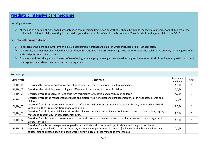### **Paediatric intensive care medicine**

### **Learning outcome:**

At the end of a period of higher paediatric intensive care medicine training an anaesthetist should be able to manage, as a member of a skilled team, the spitted team, the spitted to the state of the setting the intensive critically ill or injured child presenting in the district general hospital. As defined in the DH report – 'The critically ill and injured child in the DGH'

- ► To recognise the signs and symptoms of clinical deterioration in infants and children which might lead to a PICU admission
- ▶ To institute, as a member of a skilled team, appropriate resuscitative measures to manage acute deterioration and stabilise the critically ill and injured infant and child prior to transfer to a PICU
- ► To understand the principles and hazards of transferring, when appropriate (eg acutely deteriorating head injury) a critically ill and injured paediatric patient to an appropriate referral centre for further management.

| Knowledge       |                                                                                                                                                                                                                                                                                                                                                  |                       |            |
|-----------------|--------------------------------------------------------------------------------------------------------------------------------------------------------------------------------------------------------------------------------------------------------------------------------------------------------------------------------------------------|-----------------------|------------|
| Competence      | Description                                                                                                                                                                                                                                                                                                                                      | Assessment<br>methods | <b>GMP</b> |
| PI_HK_01        | Describes the principal anatomical and physiological differences in neonates, infants and children                                                                                                                                                                                                                                               | A, C, D               |            |
| <b>PI HK 02</b> | Describes the principle pharmacological differences in neonates, infants and children                                                                                                                                                                                                                                                            | A, C, D               |            |
| <b>PI HK 03</b> | Describes/recalls recognised Paediatric ICM techniques of sedation and analgesia in children                                                                                                                                                                                                                                                     | A, C, D               |            |
| <b>PI_HK_04</b> | Describes/recalls the management of fluids and electrolytes in medical and surgical emergencies in neonates, infants and<br>children                                                                                                                                                                                                             | A, C, D               |            |
| <b>PI_HK_05</b> | Describes/recalls respiratory management of infants & children using but not limited to nasal CPAP, pressured controlled<br>ventilation, High Frequency Oscillatory Ventilation                                                                                                                                                                  | A, C, D               |            |
| PI_HK_06        | Describes/recalls differential diagnosis for the collapsed neonate caused by but not limited to cardiac abnormality, sepsis,<br>metabolic abnormality or non-accidental injury                                                                                                                                                                   | A, C, D               |            |
| PI_HK_07        | Describes/recalls common presentations of paediatric cardiac anomalies; causes of cardiac arrest and how management<br>differs from adults                                                                                                                                                                                                       | A, C, D               |            |
| <b>PI HK 08</b> | Describes/recalls the management of paediatric medical conditions requiring critical care including but not limited to:<br>septicaemia, bronchiolitis, status epilepticus, asthma and upper airway obstruction [including foreign body and infective<br>causes] diabetic ketoacidosis and basic working knowledge of other metabolic emergencies | A,C,D                 |            |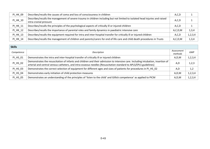| PI_HK_09        | Describes/recalls the causes of coma and loss of consciousness in children                                                                             | A, C, D    |         |
|-----------------|--------------------------------------------------------------------------------------------------------------------------------------------------------|------------|---------|
| <b>PI_HK_10</b> | Describes/recalls the management of severe trauma in children including but not limited to isolated head injuries and raised<br>intra-cranial pressure | A, C, D    |         |
| PI_HK_11        | Describes/recalls the principles of the psychological aspects of critically ill or injured children                                                    | A, C, D    |         |
| PI_HK_12        | Describes/recalls the importance of parental roles and family dynamics in paediatric intensive care                                                    | A, C, D, M | 1,3,4   |
| PI_HK_13        | Describes/recalls the equipment required for intra and inter-hospital transfer for critically ill or injured children                                  | A, C, D    | 1,2,3,4 |
| PI_HK_14        | Describes/recalls the management of children and parents/carers for end of life care and child death procedures in Trusts                              | A, C, D, M | 1,3,4   |

| <b>Skills</b>   |                                                                                                                                                                                                                                                       |                       |            |
|-----------------|-------------------------------------------------------------------------------------------------------------------------------------------------------------------------------------------------------------------------------------------------------|-----------------------|------------|
| Competence      | Description                                                                                                                                                                                                                                           | Assessment<br>methods | <b>GMP</b> |
| PI_HS_01        | Demonstrates the intra and inter-hospital transfer of critically ill or injured children                                                                                                                                                              | A,D,M                 | 1,2,3,4    |
| PI_HS_02        | Demonstrates the resuscitation of infants and children and their admission to intensive care. Including intubation, insertion of<br>arterial and central venous catheters, and intra-osseous needles [Resuscitation standard to APLS/EPLS guidelines] | A,D                   | 1,2,3      |
| PI_HS_03        | Demonstrates the correct selection of equipment for different ages and sizes of patients for procedures in PI HS 02                                                                                                                                   | A,D                   | 1,2        |
| PI_HS_04        | Demonstrates early initiation of child protection measures                                                                                                                                                                                            | A, D, M               | 1,2,3,4    |
| <b>PI HS 05</b> | Demonstrates an understanding of the principles of 'listen to the child' and Gillick competence' as applied to PICM                                                                                                                                   | A, D, M               | 1, 2, 3, 4 |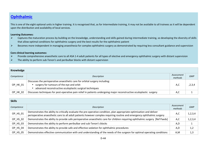### **Ophthalmic**

This is one of the eight optional units in higher training. It is recognised that, as for Intermediate training, it may not be available to all trainees as it will be dependent upon the distribution and availability of local services.

#### **Learning Outcomes:**

- $\blacktriangleright$  Captures the maturation process by building on the knowledge, understanding and skills gained during intermediate training, so developing the diversity of skills that allow optimal conditions for ophthalmic surgery and the best results for the ophthalmic patient
- $\blacktriangleright$ Becomes more independent in managing anaesthesia for complex ophthalmic surgery as demonstrated by requiring less consultant guidance and supervision

- $\blacktriangleright$ Provide comprehensive anaesthetic care to all ASA 1-4 adult patients for all types of elective and emergency ophthalmic surgery with distant supervision
- $\blacktriangleright$ The ability to perform sub-Tenon's and peribulbar blocks with distant supervision

| Knowledge  |                                                                                                                                                                                         |                       |            |
|------------|-----------------------------------------------------------------------------------------------------------------------------------------------------------------------------------------|-----------------------|------------|
| Competence | Description                                                                                                                                                                             | Assessment<br>methods | <b>GMP</b> |
| OP HK 01   | Discusses the perioperative anaesthetic care for orbital surgery including:<br>• surgery for tumours of the eye and orbit<br>• advanced reconstructive oculoplastic surgical techniques | A,C                   | ,2,3,4     |
| OP HK 02   | Discusses techniques for post-operative pain relief in patients undergoing major reconstructive oculoplastic surgery                                                                    | A,C                   |            |

| <b>Skills</b> |                                                                                                                                                                                                                                                   |                       |            |
|---------------|---------------------------------------------------------------------------------------------------------------------------------------------------------------------------------------------------------------------------------------------------|-----------------------|------------|
| Competence    | Description                                                                                                                                                                                                                                       | Assessment<br>methods | <b>GMP</b> |
| OP_HS_01      | Demonstrates the ability to critically evaluate the pre-operative condition, plan appropriate optimisation and deliver<br>perioperative anaesthetic care to all adult patients however complex requiring routine and emergency ophthalmic surgery | A,C                   | 1,2,3,4    |
| OP HS 02      | Demonstrates the ability to provide safe perioperative anaesthetic care for children requiring ophthalmic surgery [Ref Paeds]                                                                                                                     | A, C                  | 1,2,3,4    |
| OP_HS_03      | Demonstrates the ability to perform peribulbar and sub-Tenon's blocks                                                                                                                                                                             | A,D                   |            |
| OP_HS_04      | Demonstrates the ability to provide safe and effective sedation for ophthalmic procedures                                                                                                                                                         | A,D                   | 1,2        |
| OP_HS_05      | Demonstrates effective communication with and understanding of the needs of the surgeon for optimal operating conditions                                                                                                                          | A,M                   | 1,3        |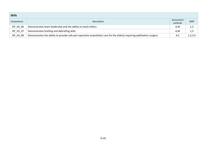| <b>Skills</b> |                                                                                                                       |                       |            |  |
|---------------|-----------------------------------------------------------------------------------------------------------------------|-----------------------|------------|--|
| Competence    | Description                                                                                                           | Assessment<br>methods | <b>GMP</b> |  |
| OP_HS_06      | Demonstrates team leadership and the ability to teach others                                                          | A,M                   | 1,3        |  |
| OP_HS_07      | Demonstrates briefing and debriefing skills                                                                           | A,M                   | 1,3        |  |
| OP HS 08      | Demonstrates the ability to provide safe peri-operative anaesthetic care for the elderly requiring ophthalmic surgery | A,C                   | 1,2,3,4    |  |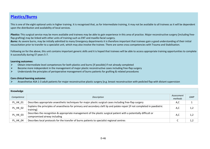### **Plastics/Burns**

This is one of the eight optional units in higher training. It is recognised that, as for Intermediate training, it may not be available to all trainees as it will be dependent upon the distribution and availability of local services.

Plastics: This surgical service may be more available and trainees may be able to gain experience in this area of practice. Major reconstructive surgery [including freeflap grafting] may be linked with other units of training such as ENT and maxillo-facial surgery.

**Burns:** As severe burns, may be initially admitted to many Emergency departments it is therefore important that trainees gain a good understanding of their initial resuscitation prior to transfer to a specialist unit, which may also involve the trainee. There are some cross competencies with Trauma and Stabilisation.

Following on for the above, this unit contains important generic skills and it is hoped that trainees will be able to access appropriate training opportunities to complete it successfully during ST years 5-7.

#### **Learning outcomes:**

- $\blacktriangleright$ Obtain intermediate level competences for both plastics and burns [if possible] if not already completed
- $\blacktriangleright$ Become more independent in the management of major plastic reconstructive cases including free-flap surgery
- $\blacktriangleright$ Understands the principles of perioperative management of burns patients for grafting & related procedures

### **Core clinical learning outcome:**

➤ Anaesthetise ASA 1-3 adult patients for major reconstructive plastic surgery [e.g. breast reconstruction with pedicled flap with distant supervision

| Knowledge       |                                                                                                                                                    |                       |            |
|-----------------|----------------------------------------------------------------------------------------------------------------------------------------------------|-----------------------|------------|
| Competence      | Description                                                                                                                                        | Assessment<br>methods | <b>GMP</b> |
| PL_HK_01        | Describes appropriate anaesthetic techniques for major plastic surgical cases including free-flap surgery                                          | A,C                   |            |
| PL_HK_02        | Explains the principles of anaesthesia for primary and secondary cleft lip and palate repair [if not completed in paediatric<br>training]          | A,C                   | 1,2        |
| PL_HK_03        | Describes the recognition & appropriate management of the plastic surgical patient with a potentially difficult or<br>compromised airway including | A.C                   | 1,2        |
| <b>PL HK 04</b> | Describes local protocols for the transfer of burns patients to specialist regional centres                                                        |                       | 1,2        |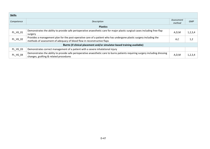| <b>Skills</b> |                                                                                                                                |            |            |
|---------------|--------------------------------------------------------------------------------------------------------------------------------|------------|------------|
| Competence    | Description                                                                                                                    | Assessment | <b>GMP</b> |
|               |                                                                                                                                | method     |            |
|               | <b>Plastics</b>                                                                                                                |            |            |
|               | Demonstrates the ability to provide safe perioperative anaesthetic care for major plastic surgical cases including free-flap   |            | 1,2,3,4    |
| PL_HS_01      | surgery                                                                                                                        | A, D, M    |            |
| PL_HS_02      | Provides a management plan for the post-operative care of a patient who has undergone plastic surgery including the            |            |            |
|               | methods of assessment of adequacy of blood flow in reconstructive flaps                                                        | A,C        | 1,2        |
|               | Burns (if clinical placement and/or simulator-based training available)                                                        |            |            |
| PL HS 03      | Demonstrates correct management of a patient with a severe inhalational injury                                                 |            |            |
| PL_HS_04      | Demonstrates the ability to provide safe perioperative anaesthetic care to burns patients requiring surgery including dressing |            |            |
|               | changes, grafting & related procedures                                                                                         | A, D, M    | 1,2,3,4    |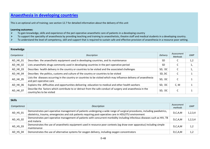### **Anaesthesia in developing countries**

This is an optional unit of training; see section 12.7 for detailed information about the delivery of this unit

### **Learning outcomes:**

- $\blacktriangleright$ To gain knowledge, skills and experience of the peri-operative anaesthetic care of patients in a developing country
- $\blacktriangleright$ To support the speciality of anaesthesia by providing teaching and training to anaesthetists, theatre staff and medical students in a developing country.
- $\blacktriangleright$ To understand the level of competency, skill and support that is required to sustain safe and effective provision of anaesthesia in a resource poor setting.

| Knowledge  |                                                                                                                                               |                 |                       |            |
|------------|-----------------------------------------------------------------------------------------------------------------------------------------------|-----------------|-----------------------|------------|
| Competence | Description                                                                                                                                   | <b>Delivery</b> | Assessment<br>Methods | <b>GMP</b> |
| AD_HK_01   | Describes the anaesthetic equipment used in developing countries, and its maintenance                                                         | <b>SD</b>       |                       | 1,2        |
| AD HK 02   | Lists anaesthetic drugs commonly used in developing countries in the peri-operative period                                                    | <b>SD</b>       |                       | ı,         |
| AD HK 03   | Describes health delivery in the country or countries to be visited and the associated challenges                                             | SD, DC          |                       | ı,         |
| AD HK 04   | Describes the politics, customs and culture of the country or countries to be visited                                                         | SD, DC          | C                     |            |
| AD_HK_05   | Lists the diseases occurring in the country or countries to be visited which may influence delivery of anaesthesia<br>and peri-operative care | SD, DC          | C                     |            |
| AD HK 06   | Explains the difficulties and opportunities delivering education to medical and other health workers                                          | SD, DC          | C, M                  |            |
| AD_HK_07   | Describe the factors which contribute to or detract from the safe conduct of surgery and anaesthesia in the<br>country/ies to be visited      | SD, DC          | C                     |            |

| <b>Skills</b> |                                                                                                                                                                                                                                     |                       |            |
|---------------|-------------------------------------------------------------------------------------------------------------------------------------------------------------------------------------------------------------------------------------|-----------------------|------------|
| Competence    | Description                                                                                                                                                                                                                         | Assessment<br>methods | <b>GMP</b> |
| AD_HS_01      | Demonstrates peri-operative management of patients undergoing a wide range of surgical procedures, including paediatrics,<br>obstetrics, trauma, emergencies and sick patients requiring post-operative care in HDU/ITU environment | D, C, A, M            | 1, 2, 3, 4 |
| AD_HS_02      | Demonstrates peri-operative management of patients with concurrent morbidity including infectious diseases such as HIV, TB<br>and malaria                                                                                           | D, C, A, M            | 1,2,3,4    |
| AD_HS_03      | Demonstrates the use of anaesthetic equipment used in resource poor contexts (eg draw-over apparatus) including simple<br>maintenance                                                                                               | D, C, A, M            | 1,2        |
| AD HS 04      | Demonstrates the use of alternative systems for oxygen delivery, including oxygen concentrators                                                                                                                                     | D, C, A, M            | 1,2        |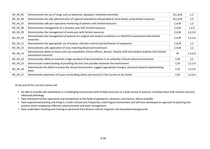| AD_HS_05 | Demonstrates the use of drugs such as ketamine, diazepam, halothane and ether                                                                            | D, C, A, M | 1,2     |
|----------|----------------------------------------------------------------------------------------------------------------------------------------------------------|------------|---------|
| AD HS 06 | Demonstrates the safe administration of regional anaesthesia and peripheral nerve blocks using limited resources                                         | D, C, A, M | 1,2     |
| AD_HS_07 | Demonstrates safe peri-operative monitoring of patients with limited resources                                                                           | C, A, M    | 1,2     |
| AD_HS_08 | Demonstrates management of a recovery area with limited resources                                                                                        | C, A, M    | 1,2,3   |
| AD_HS_09 | Demonstrates the management of acute pain with limited resources                                                                                         | C, A, M    | 1,2,3,4 |
| AD_HS_10 | Demonstrates the management of patients for surgical and medical conditions in a HDU/ITU environment with limited<br>resources                           | C, A, M    | 1,2,3,4 |
| AD_HS_11 | Demonstrates the appropriate use of asepsis, infection control and sterilisation of equipment                                                            | C, A, M    | 1,2     |
| AD_HS_12 | Demonstrates safe application of cross matching blood and transfusion                                                                                    | C, A, M    | 1,2     |
| AD_HS_13 | Demonstrates ability to teach and train anaesthetic clinical officers, doctors, theatre staff and medical students with limited<br>educational resources | M          | 1,2,3,4 |
| AD HS 14 | Demonstrates ability to maintain a high standard of documentation in an unfamiliar clinical cultural environment                                         | C, M       | 1,2     |
| AD HS 15 | Demonstrate understanding of providing the best care possible whatever the environment                                                                   | C, M       | 1,2,3,4 |
| AD_HS_16 | Demonstrate the ability to assess the clinical environment, suggest appropriate changes, and work towards implementing<br>them                           | C,M        | 1,2,3,4 |
| AD_HS_17 | Demonstrate awareness of issues surrounding safety and security in the country to be visited                                                             | C,M        | 1,2,3,4 |

At the end of this unit the trainee will:

- be able to provide safe anaesthesia in a challenging environment with limited resources to a wide variety of patients, including those with extreme and very advanced pathology.
- have enhanced his/her experience and competence in the fields of paediatrics, obstetrics and trauma, where available
- have experienced working and living in a multi-cultural and, frequently, multi-lingual environment and will have developed an approach to planning and practice which emphasises effective communication and team management.
- have undertaken teaching and training to personnel from diverse cultural, linguistic and educational backgrounds.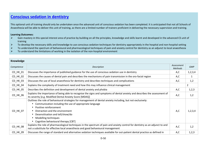### **Conscious sedation in dentistry**

This optional unit of training should only be undertaken once the advanced unit of conscious sedation has been completed. It is anticipated that not all Schools of Anaesthesia will be able to deliver this unit of training, as there are a limited number of trainers proficient in delivering the necessary supervision and training.

### **Learning Outcomes:**

- $\blacktriangleright$  Gain mastery in this special interest area of practice by building on all the principles, knowledge and skills learnt and developed in the advanced CS unit of training
- $\blacktriangleright$ To develop the necessary skills and knowledge to use conscious sedation techniques for dentistry appropriately in the hospital and non-hospital setting
- $\blacktriangleright$ To understand the spectrum of behavioural and pharmacological techniques of pain and anxiety control for dentistry as an adjunct to local anaesthesia
- $\blacktriangleright$ To understand the limitations of working in the isolation of the non-hospital environment

| Knowledge  |                                                                                                                                                                                                                                                                                                                                                      |                              |                |
|------------|------------------------------------------------------------------------------------------------------------------------------------------------------------------------------------------------------------------------------------------------------------------------------------------------------------------------------------------------------|------------------------------|----------------|
| Competence | Description                                                                                                                                                                                                                                                                                                                                          | Assessment<br><b>Methods</b> | <b>GMP</b>     |
| CD_HK_01   | Discusses the importance of published guidance for the use of conscious sedation use in dentistry                                                                                                                                                                                                                                                    | A,C                          | 1, 2, 3, 4     |
| CD_HK_02   | Discusses the causes of dental pain and describes the mechanisms of pain transmission in the oro-facial region                                                                                                                                                                                                                                       | A,C                          | $\mathbf{1}$   |
| CD_HK_03   | Discusses the use of local anaesthesia for dentistry and describes techniques and complications                                                                                                                                                                                                                                                      | A,C                          | 1,2            |
| CD_HK_04   | Explains the complexity of treatment need and how this may influence clinical management                                                                                                                                                                                                                                                             |                              | $\overline{2}$ |
| CD_HK_05   | Describes the definition and development of dental anxiety and phobia                                                                                                                                                                                                                                                                                | A,C                          | 1, 2, 3        |
| CD_HK_06   | Explains the importance of being able to recognise the signs and symptoms of dental anxiety and describes the assessment of<br>its severity [e.g. Modified Dental Anxiety Score [MDAS]]                                                                                                                                                              | A,C                          | 1,2            |
| CD_HK_07   | Outlines the role of behavioural strategies for management of dental anxiety including, but not exclusively:<br>Communication including the use of appropriate language<br>Positive reinforcement<br>$\bullet$<br>Distraction and the environment<br>Desensitisation and tell/show/do<br>Modelling techniques<br>Cognitive behavioural therapy [CBT] | A, C                         | 1,2,3,4        |
| CD_HK_08   | Explains the role of pharmacological techniques in the spectrum of pain and anxiety control for dentistry as an adjunct to and<br>not a substitute for effective local anaesthesia and good behavioural management                                                                                                                                   | A,C                          | 1,2            |
| CD_HK_09   | Discusses the range of standard and alternative sedation techniques available for out-patient dental practice as defined in                                                                                                                                                                                                                          | A,C                          | 1,2,3          |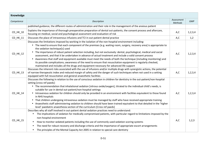| Knowledge  |                                                                                                                                                                                                                                                                                                                                                                                                                                                                                                                                                                                                                                                                                                                                                                                                                                                |                              |            |
|------------|------------------------------------------------------------------------------------------------------------------------------------------------------------------------------------------------------------------------------------------------------------------------------------------------------------------------------------------------------------------------------------------------------------------------------------------------------------------------------------------------------------------------------------------------------------------------------------------------------------------------------------------------------------------------------------------------------------------------------------------------------------------------------------------------------------------------------------------------|------------------------------|------------|
| Competence | Description                                                                                                                                                                                                                                                                                                                                                                                                                                                                                                                                                                                                                                                                                                                                                                                                                                    | Assessment<br><b>Methods</b> | <b>GMP</b> |
|            | published guidance, the different routes of administration and their role in the management of the anxious patient                                                                                                                                                                                                                                                                                                                                                                                                                                                                                                                                                                                                                                                                                                                             |                              |            |
| CD_HK_10   | Explains the importance of thorough preoperative preparation of dental out-patients, the consent process and aftercare,<br>focusing on medical, social and psychological assessment and evaluation of risk                                                                                                                                                                                                                                                                                                                                                                                                                                                                                                                                                                                                                                     | A,C                          | 1, 2, 3, 4 |
| CD_HK_11   | Discusses the place of intravenous infusions and TCI in out-patient dental practice                                                                                                                                                                                                                                                                                                                                                                                                                                                                                                                                                                                                                                                                                                                                                            | A,C                          | 1,2        |
| CD_HK_12   | Discusses the limitations imposed by working in the isolation of the non-hospital environment including:<br>• The need to ensure that each component of the premises [e.g. waiting room, surgery, recovery area] is appropriate to<br>the sedation technique[s] used<br>• The importance of robust patient selection including, but not exclusively: dental, psychological, medical and social<br>assessment, and that it be undertaken in advance of actual treatment and include a valid consent process<br>• Awareness that staff and equipment available must meet the needs of both the technique [including monitoring] and<br>its possible complications; awareness of the need to ensure that resuscitation equipment is regularly checked,<br>maintained and includes all the drugs and equipment necessary for advanced life support | A,C                          | 1, 2, 3, 4 |
| CD HK 13   | Discusses the inherent risks associated with the use of infusions and/or multiple drugs with synergistic actions, the potential<br>of narrow therapeutic index and reduced margin of safety and the danger of such techniques when not used in a setting<br>equipped with full resuscitation and general anaesthetic facilities                                                                                                                                                                                                                                                                                                                                                                                                                                                                                                                | A,C                          | 1,2,3,4    |
| CD_HK_14   | Discusses the following in relation to the use of conscious sedation in children for dentistry in the out-patient/non-hospital<br>setting [cross ref paeds]:<br>• The recommendation that inhalational sedation [nitrous oxide/oxygen], titrated to the individual child's needs, is<br>suitable for use in dental out-patient/non-hospital settings<br>• Intravenous sedation for children should only be provided in an environment with facilities equivalent to those found<br>in NHS hospitals<br>• That children undergoing intravenous sedation must be managed by staff who have received appropriate training<br>• Anaesthetic staff administering sedation to children should have been trained equivalent to that detailed in the 'higher<br>level' paediatric anaesthesia section of the curriculum [Cross ref paeds]              | A,C                          | 1,2,3,4    |
| CD_HK_15   | Describes why all staff involved in out-patient dental sedation practices need to understand:<br>The implications of sedation for medically compromised patients, with particular regard to limitations imposed by the<br>$\bullet$<br>non-hospital environment<br>How to monitor sedated patients including the use of commonly used sedation scoring systems<br>$\bullet$<br>The need for robust recovery and discharge criteria and the importance of appropriate escort arrangements<br>The principles of the Mental Capacity Act 2005 in relation to special care dentistry<br>$\bullet$                                                                                                                                                                                                                                                  | A,C                          | 1,2,3      |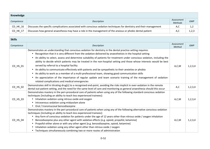| Knowledge       |                                                                                                                       |                       |            |  |  |
|-----------------|-----------------------------------------------------------------------------------------------------------------------|-----------------------|------------|--|--|
| Competence      | Description                                                                                                           | Assessment<br>Methods | <b>GMP</b> |  |  |
| $CD$ HK $16$    | Discusses the specific complications associated with conscious sedation techniques for dentistry and their management | A.C                   | 1,2        |  |  |
| <b>CD HK 17</b> | Discusses how general anaesthesia may have a role in the management of the anxious or phobic dental patient           | A.C                   | 1,2,3      |  |  |

| <b>Skills</b>              |                                                                                                                                                                                                                                                                                                                                                                                                                                                                                                                                                                                                                                                                                                                                                                                                                                                                                                                                                                        |                      |            |  |
|----------------------------|------------------------------------------------------------------------------------------------------------------------------------------------------------------------------------------------------------------------------------------------------------------------------------------------------------------------------------------------------------------------------------------------------------------------------------------------------------------------------------------------------------------------------------------------------------------------------------------------------------------------------------------------------------------------------------------------------------------------------------------------------------------------------------------------------------------------------------------------------------------------------------------------------------------------------------------------------------------------|----------------------|------------|--|
| Competence                 | Description                                                                                                                                                                                                                                                                                                                                                                                                                                                                                                                                                                                                                                                                                                                                                                                                                                                                                                                                                            | Assessment<br>Method | <b>GMP</b> |  |
| $CD$ <sub>HS</sub> $_01$   | Demonstrates an understanding that conscious sedation for dentistry in the dental practice setting requires:<br>Recognition that it is very different from the sedation delivered by anaesthetists in the hospital setting<br>$\bullet$<br>An ability to select, assess and determine suitability of patients for treatment under conscious sedation, including the<br>$\bullet$<br>ability to decide which patients may be treated in the non-hospital setting and those whose interests would be best<br>served by referral to a hospital facility<br>An ability to communicate effectively with patients and be sympathetic to their anxieties or phobia<br>$\bullet$<br>An ability to work as a member of a multi-professional team, showing good communication skills<br>$\bullet$<br>An appreciation of the importance of regular update and team scenario training of the management of sedation-<br>$\bullet$<br>related complications and medical emergencies | A, C, M              | 1,2,3,4    |  |
| $CD$ <sub>_HS</sub> $_0$ 2 | Demonstrates skill in titrating drug[s] to a recognised end-point, avoiding the risks implicit in over-sedation in the remote<br>dental out-patient setting, and the need for the same level of care and monitoring as general anaesthesia should this occur                                                                                                                                                                                                                                                                                                                                                                                                                                                                                                                                                                                                                                                                                                           | A,C                  | 1,2,3,4    |  |
| $CD$ <sub>HS</sub> $_0$ 3  | Demonstrates mastery in the peri-procedural care of patients when using any of the following standard conscious sedation<br>techniques [including an ability to teach less experienced trainees]:<br>Inhalation sedation using nitrous oxide and oxygen<br>$\bullet$<br>Intravenous sedation using midazolam alone<br>$\bullet$<br>Oral / transmucosal benzodiazepine                                                                                                                                                                                                                                                                                                                                                                                                                                                                                                                                                                                                  | A,C,M                | 1, 2, 3, 4 |  |
| CD_HS_04                   | Demonstrates mastery in the peri-procedural care of patients when using any of the following alternative conscious sedation<br>techniques [including an ability to teach less experienced trainees]:<br>Any form of conscious sedation for patients under the age of 12 years other than nitrous oxide / oxygen inhalation<br>$\bullet$<br>Benzodiazepine plus any other agent with sedative effects [e.g. opioid, propofol, ketamine]<br>Propofol either alone or with any other agent [e.g. benzodiazepine, opioid, ketamine]<br>Inhalation sedation using any other agent other than nitrous oxide / oxygen<br>$\bullet$<br>Techniques simultaneously combining two or more routes of administration                                                                                                                                                                                                                                                                | A, C, M              | 1,2,3,4    |  |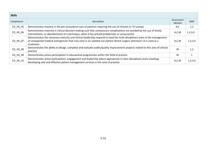| <b>Skills</b>           |                                                                                                                                                                                                                                                                |                      |            |
|-------------------------|----------------------------------------------------------------------------------------------------------------------------------------------------------------------------------------------------------------------------------------------------------------|----------------------|------------|
| Competence              | Description                                                                                                                                                                                                                                                    | Assessment<br>Method | <b>GMP</b> |
| CD_HS_05                | Demonstrates mastery in the peri-procedural care of patients requiring the use of infusion or TCI pumps                                                                                                                                                        | A,C                  | 1,2        |
| $CD$ <sub>HS</sub> $06$ | Demonstrates maturity in clinical decision-making such that unnecessary complications are avoided by the use of timely<br>interventions, or abandonment of a technique, when it has proved problematic or unsuccessful                                         | A, C, M              | 1, 2, 3, 4 |
| CD HS 07                | Demonstrates the necessary maturity and clinical leadership required to lead the multi-disciplinary team in the management<br>of unexpected medical emergencies that may arise in an isolated out-patient dental surgery whenever CS is used as a<br>treatment | A, C, M              | 1,2,3,4    |
| CD_HS_08                | Demonstrates the ability to design, complete and evaluate audits/quality improvement projects related to this area of clinical<br>practice                                                                                                                     | M                    | 1,2        |
| CD HS 09                | Demonstrates active participation in educational programmes within this field of practice                                                                                                                                                                      | м                    |            |
| $CD$ <sub>_HS_10</sub>  | Demonstrates active participation, engagement and leadership where appropriate in inter-disciplinary team meetings<br>developing safe and effective patient management services in this area of practice                                                       | A, C, M              | 1,2,3,4    |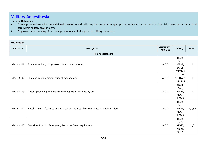### **Military Anaesthesia**

### **Learning Outcomes:**

- To equip the trainee with the additional knowledge and skills required to perform appropriate pre-hospital care, resuscitation, field anaesthetics and critical anaesthetics and critical  $\blacktriangleright$ care within military environments
- $\triangleright$  To gain an understanding of the management of medical support to military operations  $\blacktriangleright$

| Knowledge       |                                                                                     |                              |                                                   |              |  |
|-----------------|-------------------------------------------------------------------------------------|------------------------------|---------------------------------------------------|--------------|--|
| Competence      | Description                                                                         | Assessment<br><b>Methods</b> | Delivery                                          | <b>GMP</b>   |  |
|                 | Pre-hospital care                                                                   |                              |                                                   |              |  |
| MA_HK_01        | Explains military triage assessment and categories                                  | A, C, D                      | SD, B,<br>Dep,<br>MERT,<br>BATLS,<br><b>MIMMS</b> | $\mathbf{1}$ |  |
| MA_HK_02        | Explains military major incident management                                         | A, C, D                      | SD, Dep,<br><b>MILITARY</b><br><b>MIMMS</b>       | $\mathbf{1}$ |  |
| MA_HK_03        | Recalls physiological hazards of transporting patients by air                       | A,C,D                        | SD, B,<br>Dep,<br>MERT,<br>MOST,<br><b>HEMS</b>   | $\mathbf{1}$ |  |
| MA_HK_04        | Recalls aircraft features and aircrew procedures likely to impact on patient safety | A, C, D                      | SD, B,<br>Dep,<br>MERT,<br>MOST,<br><b>HEMS</b>   | 1, 2, 3, 4   |  |
| <b>MA_HK_05</b> | Describes Medical Emergency Response Team equipment                                 | A, C, D                      | SD, B,<br>Dep,<br>MOST,<br>MERT,<br>BATLS,        | 1,2          |  |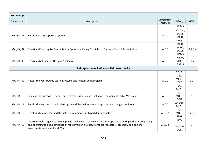| Knowledge                                        |                                                                                                                                                                                                                                                               |                              |                                                          |              |
|--------------------------------------------------|---------------------------------------------------------------------------------------------------------------------------------------------------------------------------------------------------------------------------------------------------------------|------------------------------|----------------------------------------------------------|--------------|
| Competence                                       | Description                                                                                                                                                                                                                                                   | Assessment<br><b>Methods</b> | Delivery                                                 | <b>GMP</b>   |
|                                                  |                                                                                                                                                                                                                                                               |                              | <b>HEMS</b>                                              |              |
| MA_HK_06                                         | Recalls casualty reporting systems                                                                                                                                                                                                                            | A,C,D                        | SD, Dep,<br>BATLS,<br>MERT,<br><b>MOST</b>               | $\mathbf{1}$ |
| <b>MA_HK_07</b>                                  | Describes Pre-HospitAl Resuscitation Options including Principles of Damage Control Resuscitation                                                                                                                                                             | A, C, D                      | MERT,<br>MOST,<br>BATLS,<br><b>HEMS</b>                  | 1, 2, 3, 4   |
| MA_HK_08                                         | Describes Military Pre-Hospital Analgesia                                                                                                                                                                                                                     | A, C, D                      | MERT,<br>MOST,<br><b>BATLS</b>                           | 1,2          |
| In-hospital resuscitation and field anaesthetics |                                                                                                                                                                                                                                                               |                              |                                                          |              |
| MA_HK_09                                         | Recalls relevant trauma scoring systems and military audit projects                                                                                                                                                                                           | A, C, D                      | SD, B,<br>Dep,<br>MERT,<br>STAT,<br>TSAS,<br><b>MOST</b> | 1,2          |
| MA_HK_10                                         | Explains the Surgeon General's current transfusion policy, including recombinant Factor Vlla policy                                                                                                                                                           | A, C, D                      | SD,<br>MOST,<br><b>CGO</b>                               | $\mathbf{1}$ |
| MA_HK_11                                         | Recalls the logistics of medical resupply and the maintenance of appropriate storage conditions                                                                                                                                                               | A, C, D                      | SD, Dep,<br><b>MOST</b>                                  | $\mathbf{1}$ |
| <b>MA_HK_12</b>                                  | Recalls indications for, and the safe use of emergency blood donor panels                                                                                                                                                                                     | A, C, D, S                   | SD,<br>MOST,<br><b>STAT</b>                              | 1,2,3,4      |
| <b>MA_HK_13</b>                                  | Describes field surgical team equipment, including tri-service anaesthetic apparatus (with paediatric adaptions)<br>and operating tables, knowledge of rapid infusion devices, transport ventilators, broselow bag, regional<br>anaesthesia equipment and PCA | A, C, D, S                   | Sim,<br>Dep,<br>DASC, M<br>OST,                          | $\mathbf{1}$ |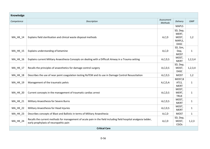| Knowledge       |                                                                                                                                                           |                              |                                                     |              |  |
|-----------------|-----------------------------------------------------------------------------------------------------------------------------------------------------------|------------------------------|-----------------------------------------------------|--------------|--|
| Competence      | Description                                                                                                                                               | Assessment<br><b>Methods</b> | Delivery                                            | <b>GMP</b>   |  |
|                 |                                                                                                                                                           |                              | <b>MAPLS</b>                                        |              |  |
| <b>MA_HK_14</b> | Explains field sterilisation and clinical waste disposal methods                                                                                          | A, C, D                      | SD, Dep,<br>MERT,<br>MOST,<br>MAPLS,<br><b>DASC</b> | 1,2          |  |
| <b>MA_HK_15</b> | Explains understanding of ketamine                                                                                                                        | A, C, D                      | SD, Sim,<br>Dep,<br><b>MOST</b>                     | $1\,$        |  |
| MA_HK_16        | Explains current Military Anaesthesia Concepts on dealing with a Difficult Airway in a Trauma setting                                                     | A, C, D, S                   | MOST,<br><b>MERT</b>                                | 1, 2, 3, 4   |  |
| MA_HK_17        | Recalls the principles of anaesthetics for damage control surgery                                                                                         | A, C, D, S                   | SD, Dep,<br>MOST,<br><b>DASC</b>                    | 1, 2, 3, 4   |  |
| <b>MA_HK_18</b> | Describes the use of near point coagulation testing RoTEM and its use in Damage Control Resuscitation                                                     | A, C, D, S                   | <b>MOST</b>                                         | 1,2          |  |
| MA_HK_19        | Management of the traumatic pelvis                                                                                                                        | A, C, D, A                   | MOST, B<br>ATLS,<br><b>MERT</b>                     | $\mathbf{1}$ |  |
| MA_HK_20        | Current concepts in the management of traumatic cardiac arrest                                                                                            | A, C, D, S                   | MOST,<br>MERT,<br><b>TRUE</b>                       | $\mathbf{1}$ |  |
| <b>MA_HK_21</b> | Military Anaesthesia for Severe Burns                                                                                                                     | A, C, D, S                   | MOST,<br><b>MERT</b>                                | $\mathbf{1}$ |  |
| <b>MA_HK_22</b> | Military Anaesthesia for Head Injuries                                                                                                                    | A, C, D, S                   | MOST,<br><b>MERT</b>                                | $\mathbf{1}$ |  |
| <b>MA_HK_23</b> | Describes concepts of Blast and Ballistic in terms of Military Anaesthesia                                                                                | A, C, D                      | <b>MOST</b>                                         | $\mathbf{1}$ |  |
| <b>MA_HK_24</b> | Recalls the current methods for management of acute pain in the field including field hospital analgesia ladder,<br>early prophylaxis of neuropathic pain | A, C, D                      | SD, Dep,<br>MOST,<br>CGOs                           | 1,2,3        |  |
|                 | <b>Critical Care</b>                                                                                                                                      |                              |                                                     |              |  |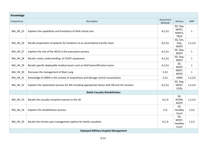| Knowledge       |                                                                                                  |                              |                                            |              |
|-----------------|--------------------------------------------------------------------------------------------------|------------------------------|--------------------------------------------|--------------|
| Competence      | Description                                                                                      | Assessment<br><b>Methods</b> | Delivery                                   | <b>GMP</b>   |
| <b>MA_HK_25</b> | Explains the capabilities and limitations of field critical care                                 | A, C, D, I                   | SD, Dep,<br>MOST,<br>MAPLS,<br><b>TRUE</b> | $\mathbf{1}$ |
| <b>MA_HK_26</b> | Recalls preparation of patients for handover to an aeromedical transfer team                     | A, C, D, I                   | SD, Sim,<br>Dep,<br><b>MOST</b>            | 1, 2, 3, 4   |
| <b>MA_HK_27</b> | Explains the role of the AELO in the evacuation process                                          | A, C, D, I                   | SD, Dep,<br><b>MOST</b>                    | $\mathbf{1}$ |
| <b>MA_HK_28</b> | Recalls a basic understanding of CCAST equipment                                                 | A, C, D, I                   | SD, Dep,<br><b>MOST</b>                    | $\mathbf{1}$ |
| <b>MA_HK_29</b> | Recalls specific deployable medical assets such as field haemofiltration teams                   | A, C, D, I                   | SD,<br><b>MOST</b>                         | $\mathbf{1}$ |
| <b>MA_HK_30</b> | Discusses the management of Blast Lung                                                           | C, D, I                      | MERT,<br><b>MOST</b>                       | $\mathbf{1}$ |
| MA_HK_31        | Knowledge of CBRN in the context of anaesthesia and damage control resuscitation                 | C, D, I                      | <b>CBRN</b>                                | 1, 2, 3, 4   |
| <b>MA_HK_32</b> | Explains the repatriation process for KIA including appropriate liaison with SIB and UK coroners | A, C, D, I                   | SD, Dep,<br>MOST,<br>CGOs                  | 1, 2, 3, 4   |
|                 | <b>Battle Casualty Rehabilitation</b>                                                            |                              |                                            |              |
| <b>MA_HK_33</b> | Recalls the casualty reception process in the UK                                                 | A, C, D                      | SD,<br>RCDM,<br><b>MOST</b>                | 1, 2, 3, 4   |
| <b>MA_HK_34</b> | Explains the rehabilitation process                                                              | C, D                         | SD,<br>Headley<br>Court                    | 1,3,4        |
| MA_HK_35        | Recalls the chronic pain management options for battle casualties                                | A, C, D                      | SD,<br>MOST,<br>Headley<br>Court           | 1,2,3        |
|                 | <b>Deployed Military Hospital Management</b>                                                     |                              |                                            |              |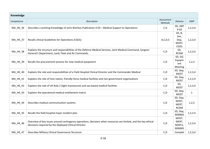| Knowledge       |                                                                                                                                                                         |                              |                                           |              |
|-----------------|-------------------------------------------------------------------------------------------------------------------------------------------------------------------------|------------------------------|-------------------------------------------|--------------|
| Competence      | Description                                                                                                                                                             | Assessment<br><b>Methods</b> | Delivery                                  | <b>GMP</b>   |
| <b>MA_HK_36</b> | Describes a working knowledge of Joint Warfare Publication 4-03 - Medical Support to Operations                                                                         | C, D                         | SD, JWP<br>$4 - 03$                       | 1,2,3,4      |
| <b>MA_HK_37</b> | Recalls clinical Guidelines for Operations (CGOs)                                                                                                                       | A, C, D, S                   | SD, B,<br>Sim,<br>Dep,<br>MOST,<br>CGOs   | 1, 2, 3, 4   |
| <b>MA_HK_38</b> | Explains the structure and responsibilities of the Defence Medical Services, Joint Medical Command, Surgeon<br>General's Department, Land, Fleet and Air Commands.      | C, D                         | SD,<br><b>RCDM</b>                        | 1,2,3,4      |
| <b>MA_HK_39</b> | Recalls the procurement process for new medical equipment                                                                                                               | C, D                         | SD, SiG<br>Equipm<br>ent<br>Meeting       | 1, 2, 3      |
| MA_HK_40        | Explains the role and responsibilities of a Field Hospital Clinical Director and the Commander Medical                                                                  | C, D                         | SD, Dep,<br><b>MOST</b>                   | 1, 2, 3, 4   |
| MA_HK_41        | Explains the role of host nation, friendly-force medical facilities and non-government organisations                                                                    | C, D                         | SD, Dep,<br><b>MOST</b>                   | 1, 2, 3, 4   |
| <b>MA_HK_42</b> | Explains the role of UK Role 2 (light manoeuvre) and sea-based medical facilities                                                                                       | C, D                         | SD,<br><b>MOST</b>                        | 1, 2, 3, 4   |
| <b>MA_HK_43</b> | Explains the operational medical entitlement matrix                                                                                                                     | C, D                         | SD, Dep,<br><b>MOST</b>                   | $\mathbf{1}$ |
| <b>MA_HK_44</b> | Describes medical communication systems                                                                                                                                 | C, D                         | SD, Dep,<br>MOST,<br>MERT,<br><b>RCDM</b> | 1, 2, 3      |
| <b>MA_HK_45</b> | Recalls the field hospital major incident plan                                                                                                                          | C, D                         | SD, Dep,<br><b>MIMMS</b>                  | 1,2,3.4      |
| <b>MA_HK_46</b> | Overview of key issues around contingency operations, decisions when resources are limited, and the key ethical<br>decisions required by the Deployed Clinical Director | C, D                         | MOST,<br>MERT,<br>MAPLS,<br><b>MIMMS</b>  | 1, 2, 3, 4   |
| <b>MA_HK_47</b> | Describes Military Clinical Governance Structure                                                                                                                        | C, D                         | Complet                                   | 1, 2, 3, 4   |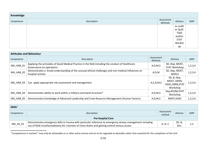| Knowledge  |             |                              |                 |     |  |
|------------|-------------|------------------------------|-----------------|-----|--|
| Competence | Description | Assessment<br><b>Methods</b> | <b>Delivery</b> | GMP |  |
|            |             |                              | es audit        |     |  |
|            |             |                              | or QuIP,        |     |  |
|            |             |                              | <b>TSAS</b>     |     |  |
|            |             |                              | and/or          |     |  |
|            |             |                              | <b>STAT</b>     |     |  |
|            |             |                              | Worksh          |     |  |
|            |             |                              | op              |     |  |

| <b>Attitudes and Behaviour</b> |                                                                                                                               |                              |                                                            |            |  |
|--------------------------------|-------------------------------------------------------------------------------------------------------------------------------|------------------------------|------------------------------------------------------------|------------|--|
| Competence                     | Description                                                                                                                   | Assessment<br><b>Methods</b> | <b>Delivery</b>                                            | <b>GMP</b> |  |
| MA_HAB_01                      | Applying the principles of Good Medical Practice in the field including the conduct of Healthcare<br>Governance on operations | A, D, M, S                   | SD, Dep, MOST,<br>STAT Workshop                            | 1, 2, 3, 4 |  |
| MA_HAB_02                      | Demonstrates a broad understanding of the unusual ethical challenges and non-medical influences on<br>hospital activity       | A, D, M                      | SD, Dep, MOST,<br><b>MAPLS</b>                             | 1, 2, 3, 4 |  |
| MA HAB 03                      | Can apply appropriate risk assessment and management                                                                          | A, C, D, M, S                | SD, B, Dep,<br>MOST, HEMS,<br>DASC, CBRN, STAT<br>Workshop | 1,2,3,4    |  |
| MA HAB 04                      | Demonstrates ability to work within a military command structure*                                                             | A, D, M, S                   | Dep, RCDM, STAT<br>Workshop                                | 1,2,3,4    |  |
| MA HAB 05                      | Demonstrates knowledge of Advanced Leadership and Crew Resource Management (Human Factors)                                    | A, D, M, S                   | MOST, DASC                                                 | 1,2,3,4    |  |

| Skills <sup>1</sup>      |                                                                                                                                                                                                               |                      |                |            |
|--------------------------|---------------------------------------------------------------------------------------------------------------------------------------------------------------------------------------------------------------|----------------------|----------------|------------|
| Competence               | Description                                                                                                                                                                                                   | Assessment<br>method | Delivery       | <b>GMP</b> |
| <b>Pre-hospital Care</b> |                                                                                                                                                                                                               |                      |                |            |
| MA_HS_01                 | Demonstrates emergency skills in trauma with particular reference to emergency airway management including<br>use of field cricothyroidotomy kit, insertion of chest drains and gaining central venous access | A, D, C              | SD, B,<br>Sim, |            |

 $1$  Competences in marked  $*$  may only be achievable on or after active service and are to be regarded as desirable rather than essential for the completion of the Unit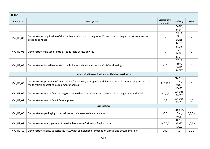| Skills <sup>1</sup> |                                                                                                                                                            |                      |                                          |              |
|---------------------|------------------------------------------------------------------------------------------------------------------------------------------------------------|----------------------|------------------------------------------|--------------|
| Competence          | Description                                                                                                                                                | Assessment<br>method | Delivery                                 | <b>GMP</b>   |
|                     |                                                                                                                                                            |                      | BATLS,<br><b>MERT</b>                    |              |
| MA_HS_02            | Demonstrates application of the combat application tourniquet (CAT) and haemorrhage control compression<br>dressing bandage                                | D                    | SD, B,<br>Sim,<br>BATLS,<br><b>MERT</b>  | $\mathbf{1}$ |
| MA_HS_03            | Demonstrates the use of Intra osseous rapid access devices                                                                                                 | D                    | SD, B,<br>Sim,<br>BATLS,<br><b>MERT</b>  | $\mathbf{1}$ |
| MA_HS_04            | Demonstrates Novel haemostatic techniques such as Hemcon and QuikClot dressings                                                                            | A, D                 | SD, B,<br>Sim,<br>BATLS,<br><b>MERT</b>  | $\mathbf{1}$ |
|                     | <b>In-hospital Resuscitation and Field Anaesthetics</b>                                                                                                    |                      |                                          |              |
| MA_HS_05            | Demonstrates provision of anaesthetics for elective, emergency and damage control surgery using current UK<br>Military field anaesthetic equipment modules | A, C, D, S           | SD, Sim,<br>Dep,<br>MOST,<br><b>DASC</b> | $\mathbf{1}$ |
| MA_HS_06            | Demonstrates use of field and regional anaesthetics as an adjunct to acute pain management in the field                                                    | A, D, C, S           | SD, Dep,<br><b>MOST</b>                  | $\mathbf{1}$ |
| MA_HS_07            | Demonstrates use of field PCA equipment                                                                                                                    | D, S                 | SD, Dep,<br><b>MOST</b>                  | 1,2          |
|                     | <b>Critical Care</b>                                                                                                                                       |                      |                                          |              |
| MA_HS_08            | Demonstrates packaging of casualties for safe aeromedical evacuation                                                                                       | C, D                 | SD, Sim,<br>Dep,<br><b>MOST</b>          | 1, 2, 3, 4   |
| MA_HS_09            | Demonstrates management of massive blood transfusion in a field hospital                                                                                   | A, C, D, S           | SD, Sim,<br>MOST,<br><b>DASC</b>         | 1, 2, 3, 4   |
| MA_HS_10            | Demonstrates ability to assist the AELO with completion of evacuation signals and documentation*                                                           | D, M                 | SD,                                      | 1,2,3        |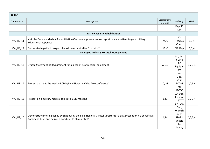| Skills <sup>1</sup> |                                                                                                                                                                                  |                      |                                                                     |            |
|---------------------|----------------------------------------------------------------------------------------------------------------------------------------------------------------------------------|----------------------|---------------------------------------------------------------------|------------|
| Competence          | Description                                                                                                                                                                      | Assessment<br>method | Delivery                                                            | <b>GMP</b> |
|                     |                                                                                                                                                                                  |                      | Dep, RC<br><b>DM</b>                                                |            |
|                     | <b>Battle Casualty Rehabilitation</b>                                                                                                                                            |                      |                                                                     |            |
| MA_HS_11            | Visit the Defence Medical Rehabilitation Centre and present a case report on an inpatient to your military<br><b>Educational Supervisor</b>                                      | M, C                 | SD,<br>Headley<br>Court                                             | 1,3,4      |
| MA_HS_12            | Demonstrate patient progress by follow-up visit after 6 months*                                                                                                                  | M, C                 | SD, Dep                                                             | 1,3,4      |
|                     | <b>Deployed Military Hospital Management</b>                                                                                                                                     |                      |                                                                     |            |
| MA_HS_13            | Draft a Statement of Requirement for a piece of new medical equipment                                                                                                            | A, C, D              | SD, Liais<br>e with<br>SiG<br>Equipm<br>ent<br>Lead                 | 1, 2, 3, 4 |
| MA_HS_14            | Present a case at the weekly RCDM/Field Hospital Video Teleconference*                                                                                                           | C, M                 | Dep,<br>Visit<br><b>RCDM</b><br>for<br><b>JTCCC</b>                 | 1, 2, 3, 4 |
| MA_HS_15            | Present on a military medical topic at a CME meeting                                                                                                                             | C, M                 | SD, Dep,<br>Present<br>at STAT<br>or TSAS                           | 1, 2, 3, 4 |
| $MA_HS_16$          | Demonstrate briefing ability by shadowing the Field Hospital Clinical Director for a day, present on his behalf at a<br>Command Brief and deliver a backbrief to clinical staff* | C, M                 | Dep,<br>Worksh<br>op at<br><b>STAT if</b><br>unable<br>to<br>deploy | 1,2,3,4    |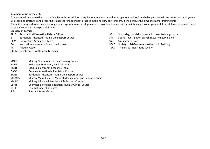#### **Summary of Achievement:**

To ensure military anaesthetists are familiar with the additional equipment, environmental, management and logistic challenges they will encounter on deployment. By proposing strategies and preparing trainees for independent practice in the military environment, it will achieve the aims of a higher training unit. The unit is designed to be flexible enough to incorporate new developments, to provide a framework for maintaining knowledge and skills at all levels of seniority and

### to be deliverable in more peaceful times.

- **Glossary of Terms:**
- 
- 
- CCAST Critical Care Air Support Team Sim Simulator Session
- 
- 
- RCDM Royal Centre for Defence Medicine
- AELO Aeromedical Evacuation Liaison Officer Subsection Space SD Study day, tutorial or pre-deployment training course
- B Battlefield Advanced Trauma Life Support Course SIB Special Investigation Branch (Royal Military Police)
	-
- Dep Instruction and supervision on deployment STAT Society of Tri-Service Anaesthetists in Training
- KIA Killed in Action TSAS Tri-Service Anaesthetic Society

### MOST Military Operational Surgical Training Course

- HEMS Helicopter Emergency Medical Service
- MERT Medical Emergency Response Team
- DASC Defence Anaesthesia Simulation Course
- BATLS Battlefield Advanced Trauma Life Support Course
- MIMMS Military Major Incident Medical Management and Support Course
- MAPLS Military Advanced Paediatric Life Support Course
- CBRN Chemical, Biological, Radiation, Nuclear Clinical Course
- TRUE True Military Echo Course
- SiG Special Interest Group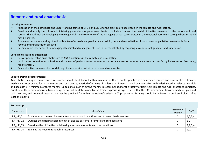### **Remote and rural anaesthesia**

#### **Learning Outcomes:**

- $\blacktriangleright$ Application of the knowledge and understanding gained at CT1-2 and ST1-3 to the practice of anaesthesia in the remote and rural setting.
- $\blacktriangleright$  Develop and modify the skills of administering general and regional anaesthesia to include a focus on the special difficulties presented by the remote and rural setting. This will include developing knowledge, skills and experience of the managing critical care services in a multidisciplinary team setting where resource may be limited.
- $\blacktriangleright$  To develop an understanding of and skills in transfer medicine (paediatric and adult), neonatal resuscitation, chronic pain and palliative care suitable for a remote and rural location practice.
- ➤ Become more independent in managing all clinical and management issues as demonstrated by requiring less consultant guidance and supervision.

#### **Core clinical learning outcomes:**

- $\blacktriangleright$ Deliver perioperative anaesthetic care to ASA 1-4patients in the remote and rural setting
- $\blacktriangleright$  Lead the resuscitation, stabilisation and transfer of patients from the remote and rural centre to the referral centre (air transfer by helicopter or fixed wing, road transfer).
- ⋗ Be an effective team member for delivery of acute services within a remote and rural centre.

### **Specific training requirements:**

Anaesthetic training in remote and rural practice should be delivered with a minimum of three months practice in a designated remote and rural centre. If transfer medicine is not provided for in the remote and rural centre, a period of training of no less than 2 weeks should be undertaken with a designated transfer team (adult and paediatric). A minimum of three months, up to a maximum of twelve months is recommended for the totality of training in remote and rural anaesthetic practice. Duration of the remote and rural training experience will be determined by the trainee's previous experience within the CCT programme; transfer medicine, pain and palliative care, and neonatal resuscitation may be provided for within the trainee's existing CCT programme. Training should be delivered in dedicated blocks of at least one month.

| Knowledge  |                                                                                            |                      |            |  |
|------------|--------------------------------------------------------------------------------------------|----------------------|------------|--|
| Competence | Description                                                                                | Assessment<br>Method | <b>GMP</b> |  |
| RR_HK_01   | Explains what is meant by a remote and rural location with respect to anaesthesia services | ∼                    | 1,2,3,4    |  |
| RR_HK_02   | Outlines the differing epidemiology of disease patterns in remote and rural locations      |                      | 1,2        |  |
| RR_HK_03   | Describes the difficulties in delivering a service in remote and rural locations           |                      | 1, 2, 3, 4 |  |
| RR_HK_04   | Explains the need to rationalise resources                                                 |                      | 1,2,       |  |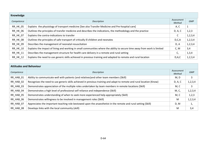| Knowledge       |                                                                                                                           |                      |            |  |
|-----------------|---------------------------------------------------------------------------------------------------------------------------|----------------------|------------|--|
| Competence      | Description                                                                                                               | Assessment<br>Method | <b>GMP</b> |  |
| <b>RR_HK_05</b> | Explains the physiology of transport medicine [See also Transfer Medicine and Pre-hospital care]                          | A, C                 | 1          |  |
| <b>RR_HK_06</b> | Outlines the principles of transfer medicine and describes the indications, the methodology and the practice              | D, A, C              | 1,2,3      |  |
| RR_HK_07        | Explains the contra-indications to transfer                                                                               |                      | 1, 2, 3, 4 |  |
| <b>RR_HK_08</b> | Outlines the principles of safe transport of critically ill children and neonates                                         | D, C, A              | 1,2,3,4    |  |
| <b>RR HK 09</b> | Describes the management of neonatal resuscitation                                                                        | D, A                 | 1,2,3,4    |  |
| <b>RR_HK_10</b> | Explains the impact of living and working in small communities where the ability to secure time away from work is limited | C, M                 | 3,4        |  |
| RR_HK_11        | Describes the management structure for health care delivery in a remote and rural setting                                 | C,                   | 1,3,4      |  |
| <b>RR HK 12</b> | Explains the need to use generic skills achieved in previous training and adapted to remote and rural location            | D, A, C              | 1,2,3,4    |  |

| <b>Attitudes and Behaviour</b> |                                                                                                                       |                      |            |
|--------------------------------|-----------------------------------------------------------------------------------------------------------------------|----------------------|------------|
| Competence                     | Description                                                                                                           | Assessment<br>Method | <b>GMP</b> |
| RR HAB 01                      | Ability to communicate well with patients (and relatives) and other team members (Skill)                              | M, D                 | 3          |
| RR_HAB_02                      | Recognises the need to use generic skills achieved in previous training and adapt to remote and rural location (Know) | D, A, C              | 1,2,3,4    |
| RR_HAB_03                      | Demonstrates appreciation of the multiple roles undertaken by team members in remote locations (Skill)                | M, C                 | 3          |
| RR HAB 04                      | Demonstrates a high level of professional self reliance and independence (Skill)                                      | M, C,                | 1,2,3,4    |
| RR_HAB_05                      | Demonstrates understanding of when to seek more experienced help appropriately (Skill)                                | M, C                 | 1,2,3      |
| RR HAB 06                      | Demonstrates willingness to be involved in management roles (Skill)                                                   | M                    | 1,2,3,4    |
| RR HAB 07                      | Appreciates the important teaching role bestowed upon the anaesthetist in the remote and rural setting (Skill)        | D, M                 | ı,         |
| RR_HAB_08                      | Develops links with the local community (skill)                                                                       | M                    | 3,4        |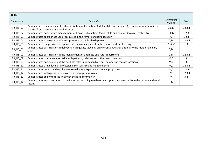| <b>Skills</b> |                                                                                                                                                                   |         |              |
|---------------|-------------------------------------------------------------------------------------------------------------------------------------------------------------------|---------|--------------|
| Competence    | Description                                                                                                                                                       |         | <b>GMP</b>   |
| RR_HS_01      | Demonstrates the assessment and optimisation of the patient (adults, child and neonates) requiring anaesthesia in or<br>transfer from a remote and rural location | D, C, M | 1,2,3,4      |
| RR_HS_02      | Demonstrates appropriate management of transfer of a patient (adult, child and neonate) to a referral centre                                                      | D, C, M | 1, 2, 3      |
| RR_HS_03      | Demonstrates appropriate use of resources in the remote and rural location                                                                                        | C       | 1, 2, 3      |
| RR_HS_04      | Demonstrates a recognition of the importance of the leadership role                                                                                               | D,M     | 1,2,3,4      |
| RR_HS_05      | Demonstrates the provision of appropriate pain management in the remote and rural setting                                                                         | D, A, C | 1,3          |
| RR_HS_06      | Demonstrates participation in delivering high quality teaching on relevant anaesthesia topics to the multidisciplinary<br>team                                    | D,M     | $\mathbf{1}$ |
| RR_HS_07      | Demonstrates participation in the management of a remote and rural department                                                                                     | D,M     | 1,2,3,4      |
| RR_HS_08      | Demonstrates communication skills with patients, relatives and other team members                                                                                 | M,D     | 3            |
| RR_HS_09      | Demonstrates appreciation of the multiple roles undertaken by team members in remote locations                                                                    | M,C     | 3            |
| RR_HS_10      | Demonstrates a high level of professional self reliance and independence                                                                                          | M,C     | 1,2,3,4      |
| RR_HS_11      | Demonstrates understanding of when to seek more experienced help appropriately                                                                                    | M,C     | 1,2,3        |
| RR_HS_12      | Demonstrates willingness to be involved in management roles                                                                                                       | M       | 1,2,3,4      |
| RR_HS_13      | Demonstrates ability to forge links with the local community                                                                                                      | M       | 3,4          |
| RR_HS_14      | Demonstrates an appreciation of the important teaching role bestowed upon the anaesthetist in the remote and rural<br>setting                                     | D,M     | 1            |